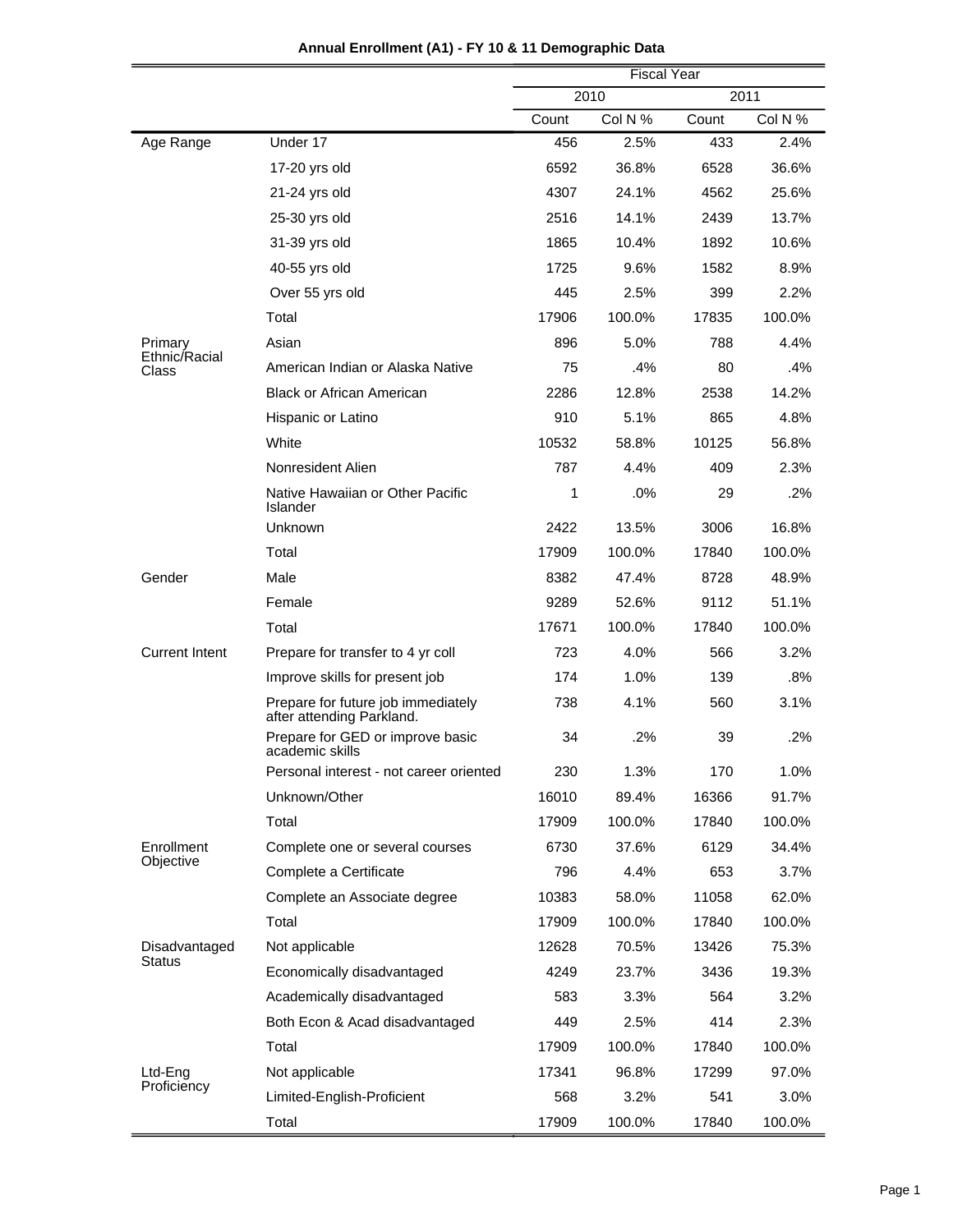|                                |                                                                 | <b>Fiscal Year</b> |         |       |         |
|--------------------------------|-----------------------------------------------------------------|--------------------|---------|-------|---------|
|                                |                                                                 |                    | 2010    |       | 2011    |
|                                |                                                                 | Count              | Col N % | Count | Col N % |
| Age Range                      | Under 17                                                        | 456                | 2.5%    | 433   | 2.4%    |
|                                | 17-20 yrs old                                                   | 6592               | 36.8%   | 6528  | 36.6%   |
|                                | 21-24 yrs old                                                   | 4307               | 24.1%   | 4562  | 25.6%   |
|                                | 25-30 yrs old                                                   | 2516               | 14.1%   | 2439  | 13.7%   |
|                                | 31-39 yrs old                                                   | 1865               | 10.4%   | 1892  | 10.6%   |
|                                | 40-55 yrs old                                                   | 1725               | 9.6%    | 1582  | 8.9%    |
|                                | Over 55 yrs old                                                 | 445                | 2.5%    | 399   | 2.2%    |
|                                | Total                                                           | 17906              | 100.0%  | 17835 | 100.0%  |
| Primary                        | Asian                                                           | 896                | 5.0%    | 788   | 4.4%    |
| Ethnic/Racial<br>Class         | American Indian or Alaska Native                                | 75                 | .4%     | 80    | .4%     |
|                                | <b>Black or African American</b>                                | 2286               | 12.8%   | 2538  | 14.2%   |
|                                | Hispanic or Latino                                              | 910                | 5.1%    | 865   | 4.8%    |
|                                | White                                                           | 10532              | 58.8%   | 10125 | 56.8%   |
|                                | Nonresident Alien                                               | 787                | 4.4%    | 409   | 2.3%    |
|                                | Native Hawaiian or Other Pacific<br>Islander                    | 1                  | .0%     | 29    | .2%     |
|                                | Unknown                                                         | 2422               | 13.5%   | 3006  | 16.8%   |
|                                | Total                                                           | 17909              | 100.0%  | 17840 | 100.0%  |
| Gender                         | Male                                                            | 8382               | 47.4%   | 8728  | 48.9%   |
|                                | Female                                                          | 9289               | 52.6%   | 9112  | 51.1%   |
|                                | Total                                                           | 17671              | 100.0%  | 17840 | 100.0%  |
| <b>Current Intent</b>          | Prepare for transfer to 4 yr coll                               | 723                | 4.0%    | 566   | 3.2%    |
|                                | Improve skills for present job                                  | 174                | 1.0%    | 139   | .8%     |
|                                | Prepare for future job immediately<br>after attending Parkland. | 738                | 4.1%    | 560   | 3.1%    |
|                                | Prepare for GED or improve basic<br>academic skills             | 34                 | .2%     | 39    | .2%     |
|                                | Personal interest - not career oriented                         | 230                | 1.3%    | 170   | 1.0%    |
|                                | Unknown/Other                                                   | 16010              | 89.4%   | 16366 | 91.7%   |
|                                | Total                                                           | 17909              | 100.0%  | 17840 | 100.0%  |
| Enrollment<br>Objective        | Complete one or several courses                                 | 6730               | 37.6%   | 6129  | 34.4%   |
|                                | Complete a Certificate                                          | 796                | 4.4%    | 653   | 3.7%    |
|                                | Complete an Associate degree                                    | 10383              | 58.0%   | 11058 | 62.0%   |
|                                | Total                                                           | 17909              | 100.0%  | 17840 | 100.0%  |
| Disadvantaged<br><b>Status</b> | Not applicable                                                  | 12628              | 70.5%   | 13426 | 75.3%   |
|                                | Economically disadvantaged                                      | 4249               | 23.7%   | 3436  | 19.3%   |
|                                | Academically disadvantaged                                      | 583                | 3.3%    | 564   | 3.2%    |
|                                | Both Econ & Acad disadvantaged                                  | 449                | 2.5%    | 414   | 2.3%    |
|                                | Total                                                           | 17909              | 100.0%  | 17840 | 100.0%  |
| Ltd-Eng                        | Not applicable                                                  | 17341              | 96.8%   | 17299 | 97.0%   |
| Proficiency                    | Limited-English-Proficient                                      | 568                | 3.2%    | 541   | 3.0%    |
|                                | Total                                                           | 17909              | 100.0%  | 17840 | 100.0%  |

| Annual Enrollment (A1) - FY 10 & 11 Demographic Data |  |  |  |
|------------------------------------------------------|--|--|--|
|------------------------------------------------------|--|--|--|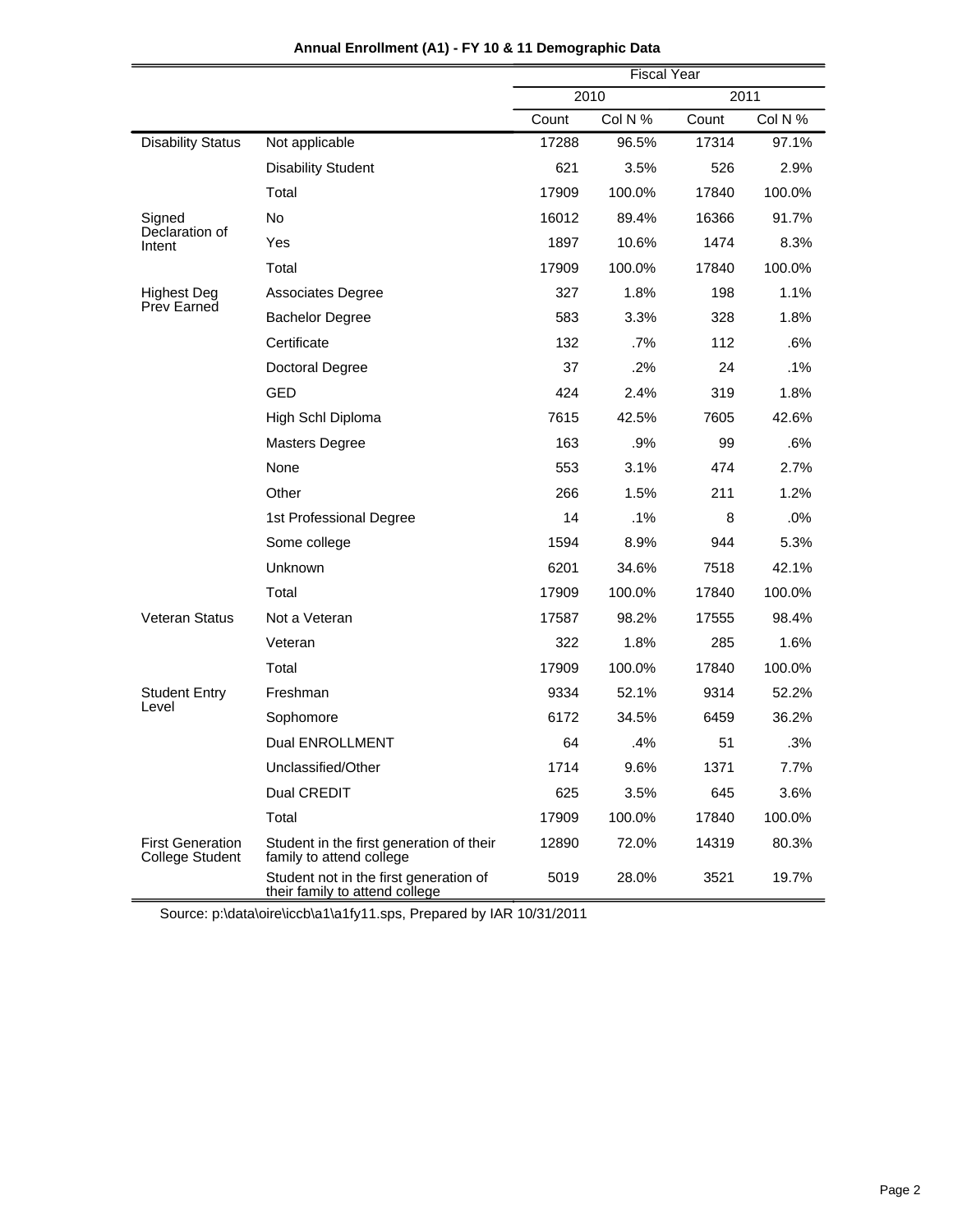|                                                   |                                                                          | <b>Fiscal Year</b> |         |       |         |
|---------------------------------------------------|--------------------------------------------------------------------------|--------------------|---------|-------|---------|
|                                                   |                                                                          |                    | 2010    |       | 2011    |
|                                                   |                                                                          | Count              | Col N % | Count | Col N % |
| <b>Disability Status</b>                          | Not applicable                                                           | 17288              | 96.5%   | 17314 | 97.1%   |
|                                                   | <b>Disability Student</b>                                                | 621                | 3.5%    | 526   | 2.9%    |
|                                                   | Total                                                                    | 17909              | 100.0%  | 17840 | 100.0%  |
| Signed<br>Declaration of                          | <b>No</b>                                                                | 16012              | 89.4%   | 16366 | 91.7%   |
| Intent                                            | Yes                                                                      | 1897               | 10.6%   | 1474  | 8.3%    |
|                                                   | Total                                                                    | 17909              | 100.0%  | 17840 | 100.0%  |
| <b>Highest Deg</b>                                | Associates Degree                                                        | 327                | 1.8%    | 198   | 1.1%    |
| Prev Earned                                       | <b>Bachelor Degree</b>                                                   | 583                | 3.3%    | 328   | 1.8%    |
|                                                   | Certificate                                                              | 132                | .7%     | 112   | .6%     |
|                                                   | Doctoral Degree                                                          | 37                 | .2%     | 24    | $.1\%$  |
|                                                   | GED                                                                      | 424                | 2.4%    | 319   | 1.8%    |
|                                                   | High Schl Diploma                                                        | 7615               | 42.5%   | 7605  | 42.6%   |
|                                                   | <b>Masters Degree</b>                                                    | 163                | .9%     | 99    | .6%     |
|                                                   | None                                                                     | 553                | 3.1%    | 474   | 2.7%    |
|                                                   | Other                                                                    | 266                | 1.5%    | 211   | 1.2%    |
|                                                   | 1st Professional Degree                                                  | 14                 | .1%     | 8     | .0%     |
|                                                   | Some college                                                             | 1594               | 8.9%    | 944   | 5.3%    |
|                                                   | Unknown                                                                  | 6201               | 34.6%   | 7518  | 42.1%   |
|                                                   | Total                                                                    | 17909              | 100.0%  | 17840 | 100.0%  |
| Veteran Status                                    | Not a Veteran                                                            | 17587              | 98.2%   | 17555 | 98.4%   |
|                                                   | Veteran                                                                  | 322                | 1.8%    | 285   | 1.6%    |
|                                                   | Total                                                                    | 17909              | 100.0%  | 17840 | 100.0%  |
| <b>Student Entry</b>                              | Freshman                                                                 | 9334               | 52.1%   | 9314  | 52.2%   |
| Level                                             | Sophomore                                                                | 6172               | 34.5%   | 6459  | 36.2%   |
|                                                   | <b>Dual ENROLLMENT</b>                                                   | 64                 | .4%     | 51    | .3%     |
|                                                   | Unclassified/Other                                                       | 1714               | 9.6%    | 1371  | 7.7%    |
|                                                   | Dual CREDIT                                                              | 625                | 3.5%    | 645   | 3.6%    |
|                                                   | Total                                                                    | 17909              | 100.0%  | 17840 | 100.0%  |
| <b>First Generation</b><br><b>College Student</b> | Student in the first generation of their<br>family to attend college     | 12890              | 72.0%   | 14319 | 80.3%   |
|                                                   | Student not in the first generation of<br>their family to attend college | 5019               | 28.0%   | 3521  | 19.7%   |

**Annual Enrollment (A1) - FY 10 & 11 Demographic Data**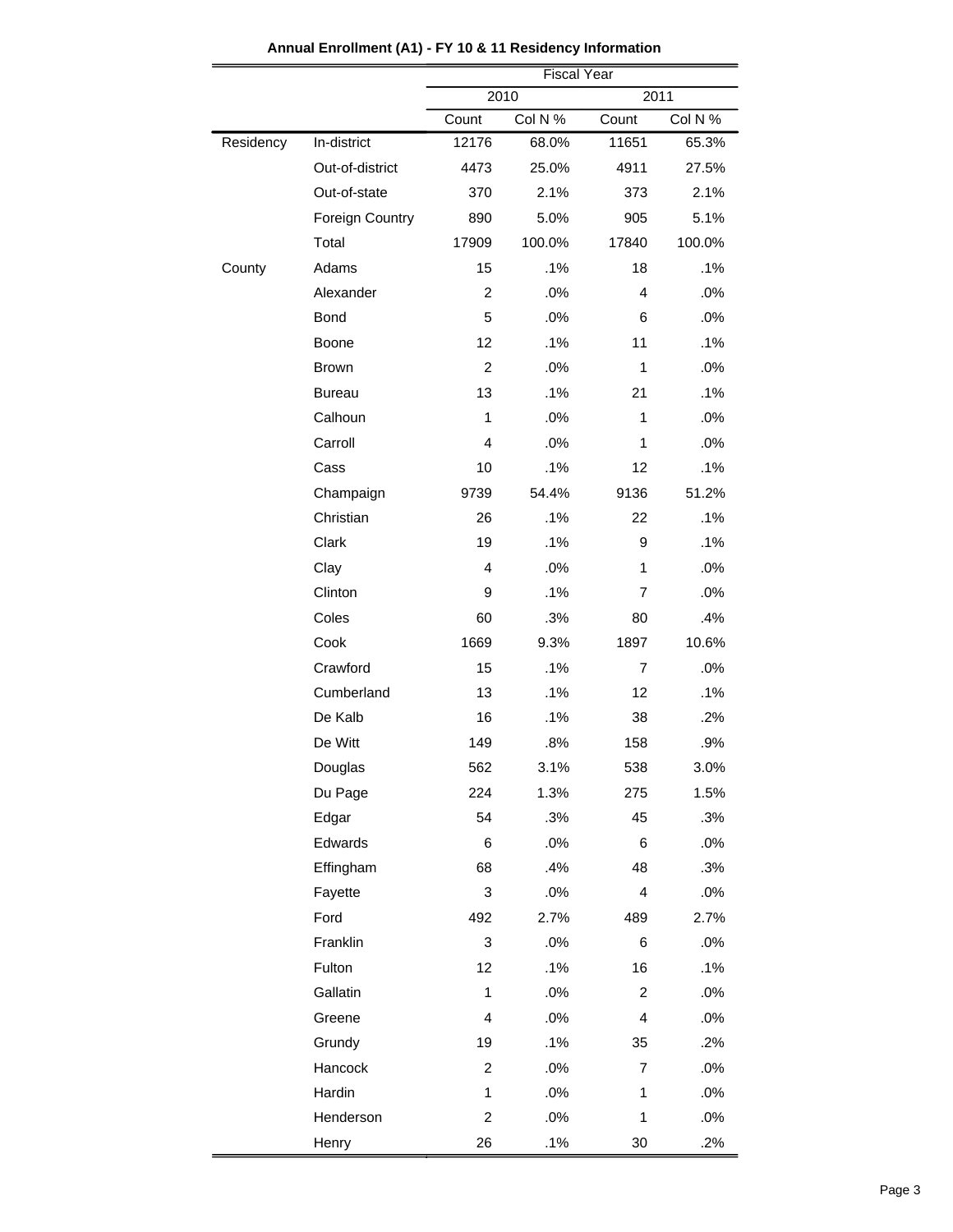|           |                        | <b>Fiscal Year</b> |         |                |         |  |
|-----------|------------------------|--------------------|---------|----------------|---------|--|
|           |                        | 2010<br>2011       |         |                |         |  |
|           |                        | Count              | Col N % | Count          | Col N % |  |
| Residency | In-district            | 12176              | 68.0%   | 11651          | 65.3%   |  |
|           | Out-of-district        | 4473               | 25.0%   | 4911           | 27.5%   |  |
|           | Out-of-state           | 370                | 2.1%    | 373            | 2.1%    |  |
|           | <b>Foreign Country</b> | 890                | 5.0%    | 905            | 5.1%    |  |
|           | Total                  | 17909              | 100.0%  | 17840          | 100.0%  |  |
| County    | Adams                  | 15                 | .1%     | 18             | .1%     |  |
|           | Alexander              | $\overline{2}$     | .0%     | 4              | .0%     |  |
|           | <b>Bond</b>            | 5                  | .0%     | 6              | .0%     |  |
|           | Boone                  | 12                 | .1%     | 11             | .1%     |  |
|           | <b>Brown</b>           | $\overline{2}$     | .0%     | 1              | .0%     |  |
|           | <b>Bureau</b>          | 13                 | .1%     | 21             | .1%     |  |
|           | Calhoun                | 1                  | .0%     | 1              | .0%     |  |
|           | Carroll                | 4                  | .0%     | $\mathbf{1}$   | .0%     |  |
|           | Cass                   | 10                 | .1%     | 12             | .1%     |  |
|           | Champaign              | 9739               | 54.4%   | 9136           | 51.2%   |  |
|           | Christian              | 26                 | .1%     | 22             | .1%     |  |
|           | Clark                  | 19                 | .1%     | 9              | .1%     |  |
|           | Clay                   | $\overline{4}$     | .0%     | 1              | .0%     |  |
|           | Clinton                | 9                  | .1%     | 7              | .0%     |  |
|           | Coles                  | 60                 | .3%     | 80             | .4%     |  |
|           | Cook                   | 1669               | 9.3%    | 1897           | 10.6%   |  |
|           | Crawford               | 15                 | .1%     | 7              | .0%     |  |
|           | Cumberland             | 13                 | .1%     | 12             | .1%     |  |
|           | De Kalb                | 16                 | .1%     | 38             | .2%     |  |
|           | De Witt                | 149                | .8%     | 158            | .9%     |  |
|           | Douglas                | 562                | 3.1%    | 538            | 3.0%    |  |
|           | Du Page                | 224                | 1.3%    | 275            | 1.5%    |  |
|           | Edgar                  | 54                 | .3%     | 45             | .3%     |  |
|           | Edwards                | 6                  | .0%     | 6              | .0%     |  |
|           | Effingham              | 68                 | .4%     | 48             | .3%     |  |
|           | Fayette                | 3                  | .0%     | $\overline{4}$ | .0%     |  |
|           | Ford                   | 492                | 2.7%    | 489            | 2.7%    |  |
|           | Franklin               | 3                  | .0%     | 6              | .0%     |  |
|           | Fulton                 | 12                 | .1%     | 16             | .1%     |  |
|           | Gallatin               | 1                  | .0%     | $\overline{c}$ | .0%     |  |
|           | Greene                 | 4                  | .0%     | $\overline{4}$ | .0%     |  |
|           | Grundy                 | 19                 | .1%     | 35             | .2%     |  |
|           | Hancock                | 2                  | .0%     | 7              | .0%     |  |
|           | Hardin                 | $\mathbf{1}$       | .0%     | 1              | .0%     |  |
|           | Henderson              | $\overline{c}$     | .0%     | 1              | .0%     |  |
|           | Henry                  | 26                 | .1%     | $30\,$         | .2%     |  |

**Annual Enrollment (A1) - FY 10 & 11 Residency Information**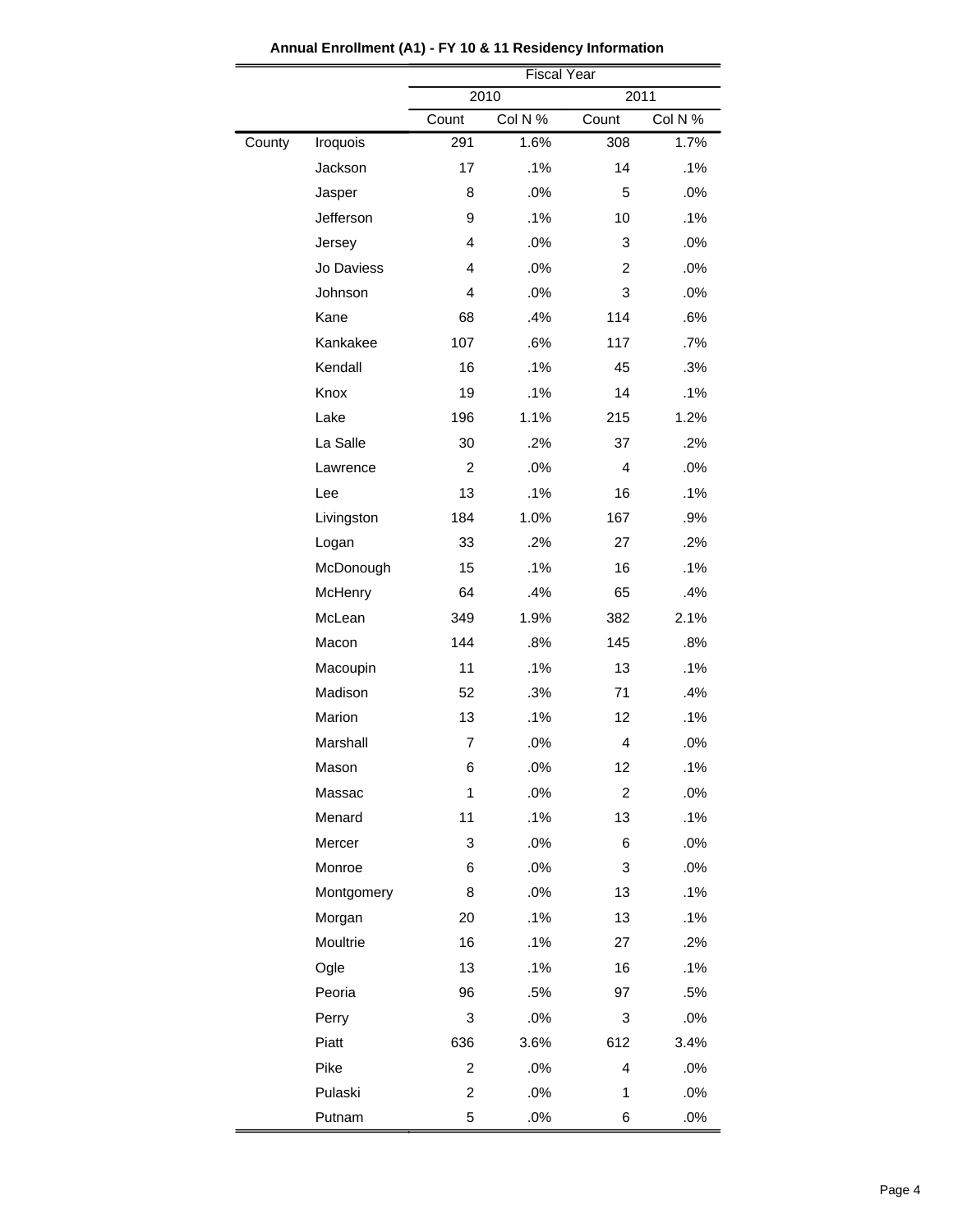|        |            | <b>Fiscal Year</b>                   |      |                  |        |  |
|--------|------------|--------------------------------------|------|------------------|--------|--|
|        |            | 2010<br>2011                         |      |                  |        |  |
|        |            | Col N %<br>Col N %<br>Count<br>Count |      |                  |        |  |
| County | Iroquois   | 291                                  | 1.6% | 308              | 1.7%   |  |
|        | Jackson    | 17                                   | .1%  | 14               | .1%    |  |
|        | Jasper     | 8                                    | .0%  | 5                | .0%    |  |
|        | Jefferson  | 9                                    | .1%  | 10               | .1%    |  |
|        | Jersey     | $\overline{4}$                       | .0%  | 3                | .0%    |  |
|        | Jo Daviess | $\overline{4}$                       | .0%  | $\overline{c}$   | .0%    |  |
|        | Johnson    | 4                                    | .0%  | 3                | .0%    |  |
|        | Kane       | 68                                   | .4%  | 114              | .6%    |  |
|        | Kankakee   | 107                                  | .6%  | 117              | .7%    |  |
|        | Kendall    | 16                                   | .1%  | 45               | .3%    |  |
|        | Knox       | 19                                   | .1%  | 14               | .1%    |  |
|        | Lake       | 196                                  | 1.1% | 215              | 1.2%   |  |
|        | La Salle   | 30                                   | .2%  | 37               | .2%    |  |
|        | Lawrence   | $\overline{c}$                       | .0%  | $\overline{4}$   | .0%    |  |
|        | Lee        | 13                                   | .1%  | 16               | .1%    |  |
|        | Livingston | 184                                  | 1.0% | 167              | .9%    |  |
|        | Logan      | 33                                   | .2%  | 27               | .2%    |  |
|        | McDonough  | 15                                   | .1%  | 16               | .1%    |  |
|        | McHenry    | 64                                   | .4%  | 65               | .4%    |  |
|        | McLean     | 349                                  | 1.9% | 382              | 2.1%   |  |
|        | Macon      | 144                                  | .8%  | 145              | .8%    |  |
|        | Macoupin   | 11                                   | .1%  | 13               | .1%    |  |
|        | Madison    | 52                                   | .3%  | 71               | .4%    |  |
|        | Marion     | 13                                   | .1%  | 12               | .1%    |  |
|        | Marshall   | $\overline{7}$                       | .0%  | 4                | .0%    |  |
|        | Mason      | 6                                    | .0%  | 12               | .1%    |  |
|        | Massac     | 1                                    | .0%  | $\boldsymbol{2}$ | .0%    |  |
|        | Menard     | 11                                   | .1%  | 13               | .1%    |  |
|        | Mercer     | 3                                    | .0%  | 6                | .0%    |  |
|        | Monroe     | 6                                    | .0%  | 3                | .0%    |  |
|        | Montgomery | 8                                    | .0%  | 13               | .1%    |  |
|        | Morgan     | 20                                   | .1%  | 13               | .1%    |  |
|        | Moultrie   | 16                                   | .1%  | 27               | .2%    |  |
|        | Ogle       | 13                                   | .1%  | 16               | .1%    |  |
|        | Peoria     | 96                                   | .5%  | 97               | .5%    |  |
|        | Perry      | $\ensuremath{\mathsf{3}}$            | .0%  | 3                | .0%    |  |
|        | Piatt      | 636                                  | 3.6% | 612              | 3.4%   |  |
|        | Pike       | $\overline{c}$                       | .0%  | 4                | .0%    |  |
|        | Pulaski    | $\overline{c}$                       | .0%  | 1                | .0%    |  |
|        | Putnam     | $\mathbf 5$                          | .0%  | 6                | $.0\%$ |  |

**Annual Enrollment (A1) - FY 10 & 11 Residency Information**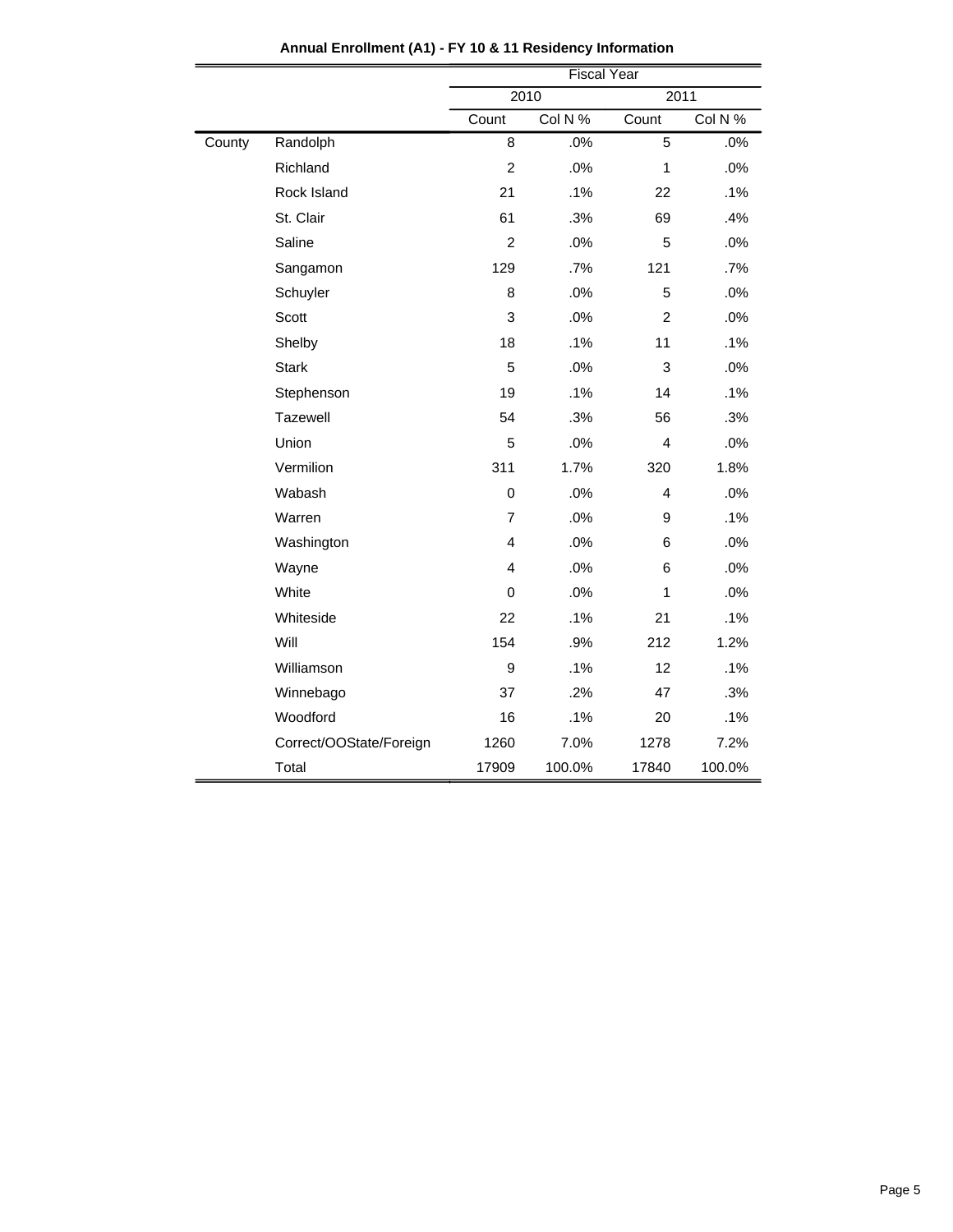|        |                         | <b>Fiscal Year</b> |         |                |         |  |
|--------|-------------------------|--------------------|---------|----------------|---------|--|
|        |                         | 2010<br>2011       |         |                |         |  |
|        |                         | Count              | Col N % | Count          | Col N % |  |
| County | Randolph                | 8                  | .0%     | 5              | .0%     |  |
|        | Richland                | $\overline{2}$     | .0%     | 1              | .0%     |  |
|        | Rock Island             | 21                 | .1%     | 22             | .1%     |  |
|        | St. Clair               | 61                 | .3%     | 69             | .4%     |  |
|        | Saline                  | $\overline{c}$     | .0%     | 5              | .0%     |  |
|        | Sangamon                | 129                | .7%     | 121            | .7%     |  |
|        | Schuyler                | 8                  | .0%     | 5              | .0%     |  |
|        | Scott                   | 3                  | .0%     | $\overline{2}$ | .0%     |  |
|        | Shelby                  | 18                 | .1%     | 11             | .1%     |  |
|        | <b>Stark</b>            | 5                  | .0%     | $\mathbf{3}$   | .0%     |  |
|        | Stephenson              | 19                 | .1%     | 14             | .1%     |  |
|        | Tazewell                | 54                 | .3%     | 56             | .3%     |  |
|        | Union                   | $\sqrt{5}$         | .0%     | $\overline{4}$ | .0%     |  |
|        | Vermilion               | 311                | 1.7%    | 320            | 1.8%    |  |
|        | Wabash                  | $\mathbf 0$        | .0%     | 4              | .0%     |  |
|        | Warren                  | $\overline{7}$     | .0%     | 9              | .1%     |  |
|        | Washington              | 4                  | .0%     | 6              | .0%     |  |
|        | Wayne                   | 4                  | .0%     | 6              | .0%     |  |
|        | White                   | $\mathbf 0$        | .0%     | 1              | .0%     |  |
|        | Whiteside               | 22                 | .1%     | 21             | .1%     |  |
|        | Will                    | 154                | .9%     | 212            | 1.2%    |  |
|        | Williamson              | 9                  | .1%     | 12             | .1%     |  |
|        | Winnebago               | 37                 | .2%     | 47             | .3%     |  |
|        | Woodford                | 16                 | .1%     | 20             | .1%     |  |
|        | Correct/OOState/Foreign | 1260               | 7.0%    | 1278           | 7.2%    |  |
|        | Total                   | 17909              | 100.0%  | 17840          | 100.0%  |  |

**Annual Enrollment (A1) - FY 10 & 11 Residency Information**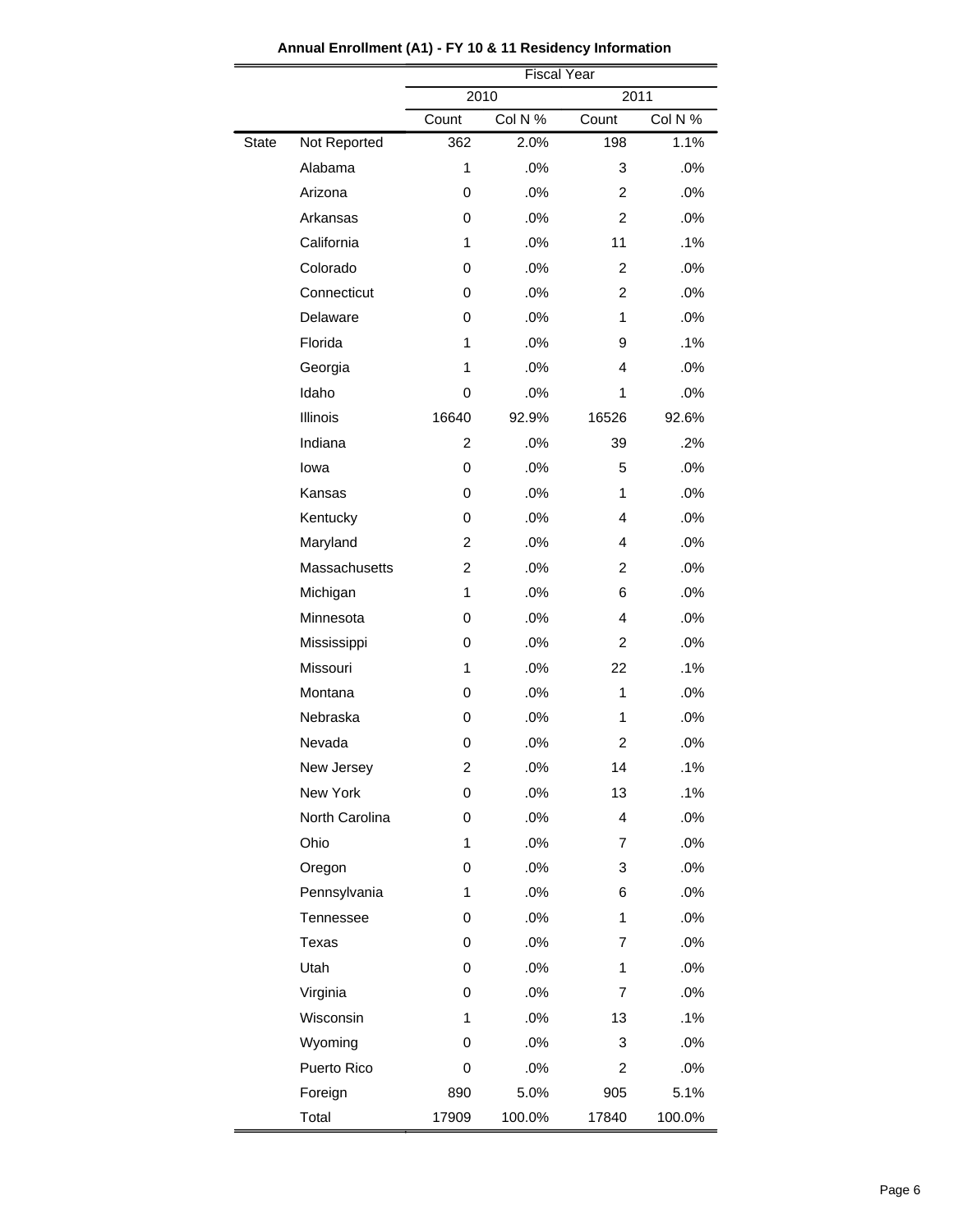|              |                | <b>Fiscal Year</b>      |         |                |         |  |
|--------------|----------------|-------------------------|---------|----------------|---------|--|
|              |                | 2010<br>2011            |         |                |         |  |
|              |                | Count                   | Col N % | Count          | Col N % |  |
| <b>State</b> | Not Reported   | 362                     | 2.0%    | 198            | 1.1%    |  |
|              | Alabama        | 1                       | .0%     | 3              | .0%     |  |
|              | Arizona        | 0                       | .0%     | 2              | .0%     |  |
|              | Arkansas       | 0                       | .0%     | $\overline{2}$ | .0%     |  |
|              | California     | 1                       | .0%     | 11             | .1%     |  |
|              | Colorado       | 0                       | .0%     | $\overline{c}$ | .0%     |  |
|              | Connecticut    | 0                       | .0%     | $\overline{c}$ | .0%     |  |
|              | Delaware       | 0                       | .0%     | 1              | .0%     |  |
|              | Florida        | 1                       | .0%     | 9              | .1%     |  |
|              | Georgia        | 1                       | .0%     | 4              | .0%     |  |
|              | Idaho          | 0                       | .0%     | 1              | .0%     |  |
|              | Illinois       | 16640                   | 92.9%   | 16526          | 92.6%   |  |
|              | Indiana        | $\overline{c}$          | .0%     | 39             | .2%     |  |
|              | lowa           | 0                       | .0%     | 5              | .0%     |  |
|              | Kansas         | 0                       | .0%     | 1              | .0%     |  |
|              | Kentucky       | 0                       | .0%     | 4              | .0%     |  |
|              | Maryland       | 2                       | .0%     | 4              | .0%     |  |
|              | Massachusetts  | $\overline{c}$          | .0%     | $\overline{c}$ | .0%     |  |
|              | Michigan       | 1                       | .0%     | 6              | .0%     |  |
|              | Minnesota      | 0                       | .0%     | 4              | .0%     |  |
|              | Mississippi    | 0                       | .0%     | 2              | .0%     |  |
|              | Missouri       | 1                       | .0%     | 22             | .1%     |  |
|              | Montana        | 0                       | .0%     | 1              | .0%     |  |
|              | Nebraska       | 0                       | .0%     | 1              | .0%     |  |
|              | Nevada         | 0                       | .0%     | 2              | .0%     |  |
|              | New Jersey     | $\overline{\mathbf{c}}$ | .0%     | 14             | .1%     |  |
|              | New York       | 0                       | .0%     | 13             | .1%     |  |
|              | North Carolina | 0                       | .0%     | 4              | .0%     |  |
|              | Ohio           | 1                       | .0%     | 7              | .0%     |  |
|              | Oregon         | 0                       | .0%     | 3              | .0%     |  |
|              | Pennsylvania   | 1                       | .0%     | 6              | .0%     |  |
|              | Tennessee      | 0                       | .0%     | 1              | .0%     |  |
|              | Texas          | 0                       | .0%     | 7              | .0%     |  |
|              | Utah           | 0                       | .0%     | 1              | .0%     |  |
|              | Virginia       | 0                       | .0%     | 7              | .0%     |  |
|              | Wisconsin      | 1                       | .0%     | 13             | .1%     |  |
|              | Wyoming        | 0                       | .0%     | 3              | .0%     |  |
|              | Puerto Rico    | 0                       | .0%     | 2              | .0%     |  |
|              | Foreign        | 890                     | 5.0%    | 905            | 5.1%    |  |
|              | Total          | 17909                   | 100.0%  | 17840          | 100.0%  |  |

**Annual Enrollment (A1) - FY 10 & 11 Residency Information**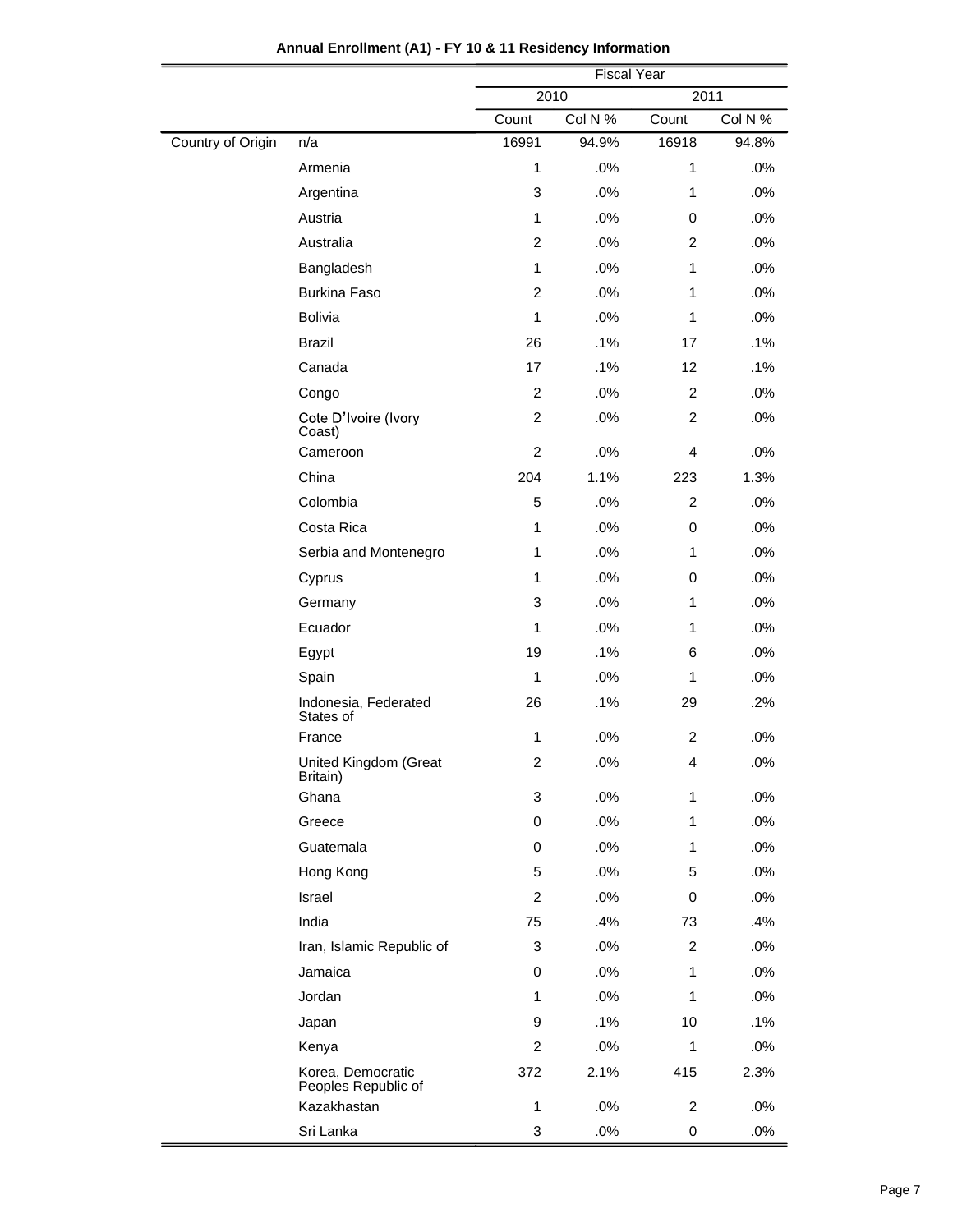|                   |                                          | <b>Fiscal Year</b>                   |        |                |       |  |
|-------------------|------------------------------------------|--------------------------------------|--------|----------------|-------|--|
|                   |                                          | 2010<br>2011                         |        |                |       |  |
|                   |                                          | Col N %<br>Count<br>Col N %<br>Count |        |                |       |  |
| Country of Origin | n/a                                      | 16991                                | 94.9%  | 16918          | 94.8% |  |
|                   | Armenia                                  | $\mathbf{1}$                         | .0%    | 1              | .0%   |  |
|                   | Argentina                                | 3                                    | .0%    | $\mathbf{1}$   | .0%   |  |
|                   | Austria                                  | $\mathbf{1}$                         | .0%    | 0              | .0%   |  |
|                   | Australia                                | $\overline{2}$                       | .0%    | 2              | .0%   |  |
|                   | Bangladesh                               | $\mathbf{1}$                         | .0%    | 1              | .0%   |  |
|                   | <b>Burkina Faso</b>                      | $\overline{c}$                       | .0%    | 1              | .0%   |  |
|                   | <b>Bolivia</b>                           | 1                                    | .0%    | 1              | .0%   |  |
|                   | <b>Brazil</b>                            | 26                                   | .1%    | 17             | .1%   |  |
|                   | Canada                                   | 17                                   | .1%    | 12             | .1%   |  |
|                   | Congo                                    | $\overline{c}$                       | .0%    | $\overline{c}$ | .0%   |  |
|                   | Cote D'Ivoire (Ivory<br>Coast)           | 2                                    | .0%    | 2              | .0%   |  |
|                   | Cameroon                                 | $\overline{c}$                       | .0%    | $\overline{4}$ | .0%   |  |
|                   | China                                    | 204                                  | 1.1%   | 223            | 1.3%  |  |
|                   | Colombia                                 | 5                                    | .0%    | $\overline{2}$ | .0%   |  |
|                   | Costa Rica                               | 1                                    | .0%    | 0              | .0%   |  |
|                   | Serbia and Montenegro                    | 1                                    | .0%    | 1              | .0%   |  |
|                   | Cyprus                                   | 1                                    | .0%    | 0              | .0%   |  |
|                   | Germany                                  | 3                                    | .0%    | 1              | .0%   |  |
|                   | Ecuador                                  | 1                                    | .0%    | 1              | .0%   |  |
|                   | Egypt                                    | 19                                   | .1%    | 6              | .0%   |  |
|                   | Spain                                    | $\mathbf{1}$                         | .0%    | 1              | .0%   |  |
|                   | Indonesia, Federated<br>States of        | 26                                   | .1%    | 29             | .2%   |  |
|                   | France                                   | 1                                    | .0%    | $\overline{c}$ | .0%   |  |
|                   | United Kingdom (Great<br>Britain)        | $\overline{2}$                       | .0%    | 4              | .0%   |  |
|                   | Ghana                                    | 3                                    | .0%    | 1              | .0%   |  |
|                   | Greece                                   | 0                                    | .0%    | 1              | .0%   |  |
|                   | Guatemala                                | 0                                    | .0%    | 1              | .0%   |  |
|                   | Hong Kong                                | 5                                    | .0%    | 5              | .0%   |  |
|                   | Israel                                   | $\overline{c}$                       | .0%    | 0              | .0%   |  |
|                   | India                                    | 75                                   | .4%    | 73             | .4%   |  |
|                   | Iran, Islamic Republic of                | 3                                    | .0%    | $\overline{2}$ | .0%   |  |
|                   | Jamaica                                  | 0                                    | .0%    | 1              | .0%   |  |
|                   | Jordan                                   | 1                                    | .0%    | 1              | .0%   |  |
|                   | Japan                                    | 9                                    | .1%    | 10             | .1%   |  |
|                   | Kenya                                    | $\overline{c}$                       | $.0\%$ | $\mathbf{1}$   | .0%   |  |
|                   | Korea, Democratic<br>Peoples Republic of | 372                                  | 2.1%   | 415            | 2.3%  |  |
|                   | Kazakhastan                              | 1                                    | .0%    | $\overline{c}$ | .0%   |  |
|                   | Sri Lanka                                | 3                                    | .0%    | 0              | .0%   |  |

| Annual Enrollment (A1) - FY 10 & 11 Residency Information |  |  |  |
|-----------------------------------------------------------|--|--|--|
|-----------------------------------------------------------|--|--|--|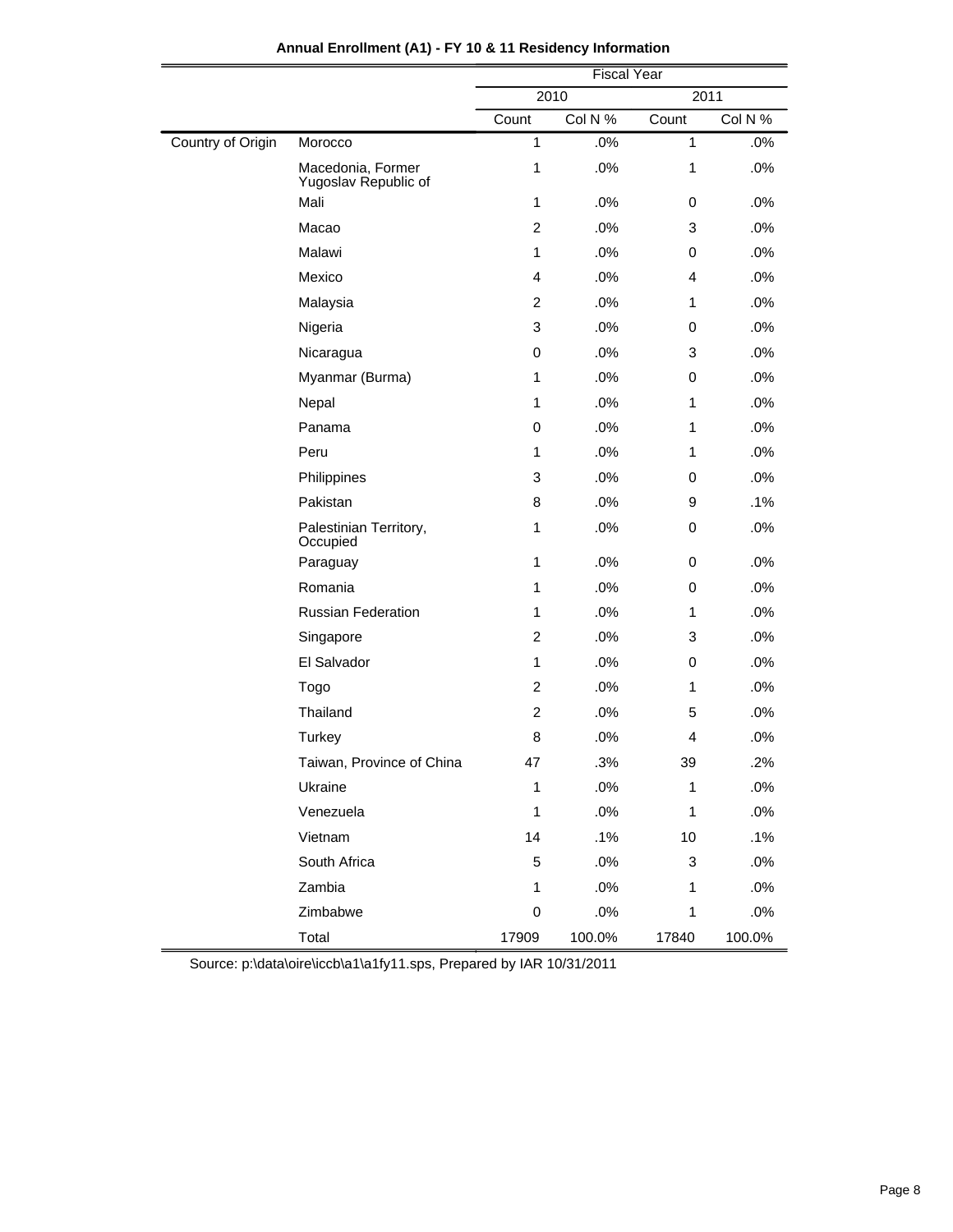|                   |                                           | <b>Fiscal Year</b> |         |              |         |  |
|-------------------|-------------------------------------------|--------------------|---------|--------------|---------|--|
|                   |                                           |                    | 2010    | 2011         |         |  |
|                   |                                           | Count              | Col N % | Count        | Col N % |  |
| Country of Origin | Morocco                                   | $\mathbf{1}$       | .0%     | $\mathbf{1}$ | .0%     |  |
|                   | Macedonia, Former<br>Yugoslav Republic of | $\mathbf{1}$       | .0%     | $\mathbf{1}$ | .0%     |  |
|                   | Mali                                      | $\mathbf{1}$       | .0%     | 0            | .0%     |  |
|                   | Macao                                     | 2                  | .0%     | 3            | .0%     |  |
|                   | Malawi                                    | $\mathbf{1}$       | .0%     | 0            | .0%     |  |
|                   | Mexico                                    | $\overline{4}$     | .0%     | 4            | .0%     |  |
|                   | Malaysia                                  | 2                  | .0%     | 1            | .0%     |  |
|                   | Nigeria                                   | 3                  | .0%     | 0            | .0%     |  |
|                   | Nicaragua                                 | 0                  | .0%     | 3            | .0%     |  |
|                   | Myanmar (Burma)                           | 1                  | .0%     | 0            | .0%     |  |
|                   | Nepal                                     | 1                  | .0%     | 1            | .0%     |  |
|                   | Panama                                    | 0                  | .0%     | $\mathbf{1}$ | .0%     |  |
|                   | Peru                                      | 1                  | .0%     | 1            | .0%     |  |
|                   | Philippines                               | 3                  | .0%     | 0            | .0%     |  |
|                   | Pakistan                                  | 8                  | .0%     | 9            | .1%     |  |
|                   | Palestinian Territory,<br>Occupied        | $\mathbf 1$        | .0%     | 0            | .0%     |  |
|                   | Paraguay                                  | $\mathbf{1}$       | .0%     | 0            | .0%     |  |
|                   | Romania                                   | 1                  | .0%     | 0            | .0%     |  |
|                   | <b>Russian Federation</b>                 | $\mathbf{1}$       | .0%     | 1            | .0%     |  |
|                   | Singapore                                 | $\overline{c}$     | .0%     | 3            | .0%     |  |
|                   | El Salvador                               | $\mathbf{1}$       | .0%     | 0            | .0%     |  |
|                   | Togo                                      | $\overline{c}$     | .0%     | 1            | .0%     |  |
|                   | Thailand                                  | $\overline{c}$     | .0%     | 5            | .0%     |  |
|                   | <b>Turkey</b>                             | 8                  | .0%     | 4            | .0%     |  |
|                   | Taiwan, Province of China                 | 47                 | .3%     | 39           | .2%     |  |
|                   | Ukraine                                   | $\mathbf{1}$       | .0%     | $\mathbf{1}$ | .0%     |  |
|                   | Venezuela                                 | $\mathbf{1}$       | .0%     | $\mathbf{1}$ | .0%     |  |
|                   | Vietnam                                   | 14                 | .1%     | 10           | .1%     |  |
|                   | South Africa                              | 5                  | .0%     | 3            | .0%     |  |
|                   | Zambia                                    | $\mathbf 1$        | .0%     | 1            | .0%     |  |
|                   | Zimbabwe                                  | 0                  | .0%     | 1            | .0%     |  |
|                   | Total                                     | 17909              | 100.0%  | 17840        | 100.0%  |  |

## **Annual Enrollment (A1) - FY 10 & 11 Residency Information**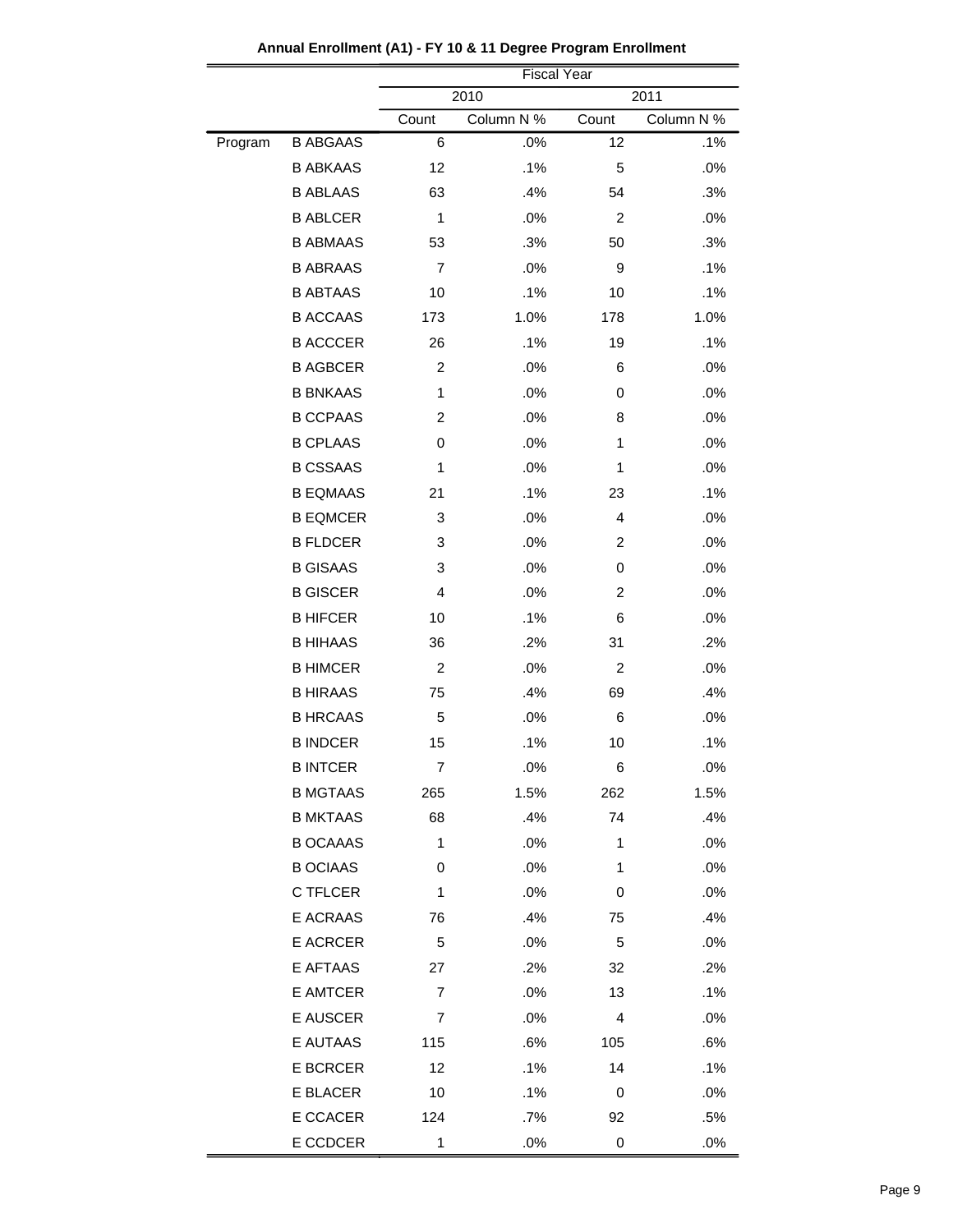|         |                 | <b>Fiscal Year</b> |            |                |            |
|---------|-----------------|--------------------|------------|----------------|------------|
|         |                 | 2010<br>2011       |            |                |            |
|         |                 | Count              | Column N % | Count          | Column N % |
| Program | <b>B ABGAAS</b> | 6                  | .0%        | 12             | .1%        |
|         | <b>B ABKAAS</b> | 12                 | .1%        | 5              | .0%        |
|         | <b>B ABLAAS</b> | 63                 | .4%        | 54             | .3%        |
|         | <b>B ABLCER</b> | 1                  | .0%        | 2              | .0%        |
|         | <b>B ABMAAS</b> | 53                 | .3%        | 50             | .3%        |
|         | <b>B ABRAAS</b> | $\overline{7}$     | .0%        | 9              | .1%        |
|         | <b>B ABTAAS</b> | 10                 | .1%        | 10             | .1%        |
|         | <b>B ACCAAS</b> | 173                | 1.0%       | 178            | 1.0%       |
|         | <b>B ACCCER</b> | 26                 | .1%        | 19             | .1%        |
|         | <b>B AGBCER</b> | $\overline{2}$     | .0%        | 6              | .0%        |
|         | <b>B BNKAAS</b> | $\mathbf{1}$       | .0%        | 0              | .0%        |
|         | <b>B CCPAAS</b> | $\overline{c}$     | .0%        | 8              | .0%        |
|         | <b>B CPLAAS</b> | 0                  | .0%        | 1              | .0%        |
|         | <b>B CSSAAS</b> | 1                  | .0%        | 1              | .0%        |
|         | <b>B EQMAAS</b> | 21                 | .1%        | 23             | .1%        |
|         | <b>B EQMCER</b> | 3                  | .0%        | $\overline{4}$ | .0%        |
|         | <b>B FLDCER</b> | 3                  | .0%        | 2              | .0%        |
|         | <b>B GISAAS</b> | 3                  | .0%        | 0              | .0%        |
|         | <b>B GISCER</b> | 4                  | .0%        | $\overline{c}$ | .0%        |
|         | <b>B HIFCER</b> | 10                 | .1%        | 6              | .0%        |
|         | <b>B HIHAAS</b> | 36                 | .2%        | 31             | .2%        |
|         | <b>B HIMCER</b> | $\overline{c}$     | .0%        | $\overline{c}$ | .0%        |
|         | <b>B HIRAAS</b> | 75                 | .4%        | 69             | .4%        |
|         | <b>B HRCAAS</b> | 5                  | .0%        | 6              | .0%        |
|         | <b>B INDCER</b> | 15                 | .1%        | 10             | .1%        |
|         | <b>B INTCER</b> | $\overline{7}$     | .0%        | 6              | .0%        |
|         | <b>B MGTAAS</b> | 265                | 1.5%       | 262            | 1.5%       |
|         | <b>B MKTAAS</b> | 68                 | .4%        | 74             | .4%        |
|         | <b>B OCAAAS</b> | 1                  | .0%        | 1              | .0%        |
|         | <b>B OCIAAS</b> | 0                  | .0%        | 1              | .0%        |
|         | C TFLCER        | 1                  | .0%        | 0              | .0%        |
|         | E ACRAAS        | 76                 | .4%        | 75             | .4%        |
|         | <b>E ACRCER</b> | 5                  | .0%        | 5              | .0%        |
|         | E AFTAAS        | 27                 | .2%        | 32             | .2%        |
|         | E AMTCER        | 7                  | .0%        | 13             | .1%        |
|         | E AUSCER        | 7                  | .0%        | 4              | .0%        |
|         | E AUTAAS        | 115                | .6%        | 105            | .6%        |
|         | E BCRCER        | 12                 | .1%        | 14             | .1%        |
|         | E BLACER        | 10                 | .1%        | 0              | .0%        |
|         | E CCACER        | 124                | .7%        | 92             | .5%        |
|         | E CCDCER        | 1                  | .0%        | $\pmb{0}$      | .0%        |

**Annual Enrollment (A1) - FY 10 & 11 Degree Program Enrollment**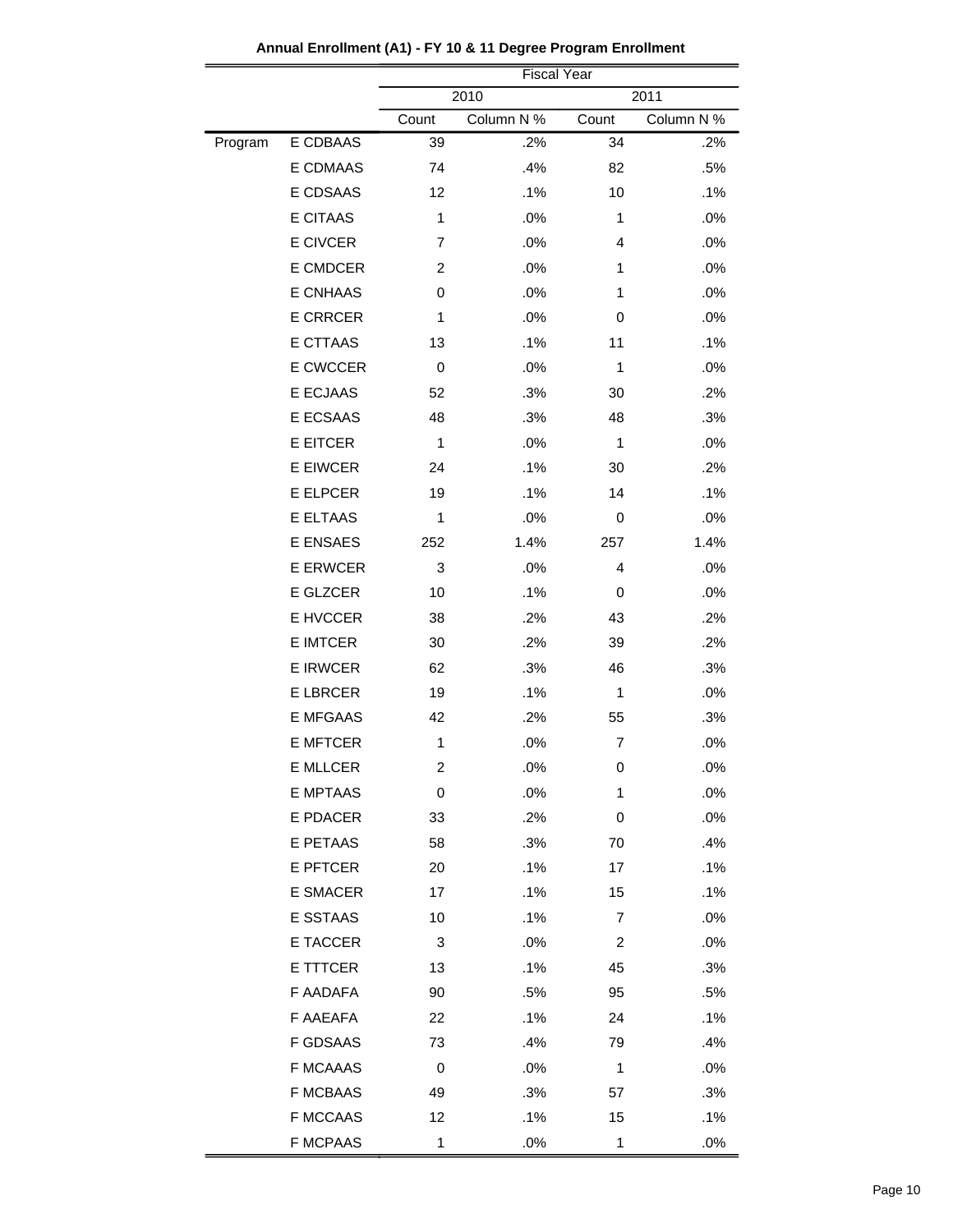|         |                 | <b>Fiscal Year</b>     |            |                         |            |  |
|---------|-----------------|------------------------|------------|-------------------------|------------|--|
|         |                 | 2010<br>2011           |            |                         |            |  |
|         |                 | Count                  | Column N % | Count                   | Column N % |  |
| Program | E CDBAAS        | 39                     | .2%        | 34                      | .2%        |  |
|         | E CDMAAS        | 74                     | .4%        | 82                      | .5%        |  |
|         | E CDSAAS        | 12                     | .1%        | 10                      | .1%        |  |
|         | E CITAAS        | 1                      | .0%        | 1                       | .0%        |  |
|         | E CIVCER        | $\overline{7}$         | .0%        | $\overline{4}$          | .0%        |  |
|         | E CMDCER        | $\overline{c}$         | .0%        | 1                       | .0%        |  |
|         | E CNHAAS        | 0                      | .0%        | 1                       | .0%        |  |
|         | <b>E CRRCER</b> | 1                      | .0%        | 0                       | .0%        |  |
|         | E CTTAAS        | 13                     | .1%        | 11                      | $.1\%$     |  |
|         | E CWCCER        | 0                      | .0%        | 1                       | .0%        |  |
|         | E ECJAAS        | 52                     | .3%        | 30                      | .2%        |  |
|         | E ECSAAS        | 48                     | .3%        | 48                      | .3%        |  |
|         | E EITCER        | 1                      | .0%        | 1                       | .0%        |  |
|         | E EIWCER        | 24                     | .1%        | 30                      | .2%        |  |
|         | <b>E ELPCER</b> | 19                     | .1%        | 14                      | .1%        |  |
|         | E ELTAAS        | 1                      | .0%        | 0                       | .0%        |  |
|         | E ENSAES        | 252                    | 1.4%       | 257                     | 1.4%       |  |
|         | <b>E ERWCER</b> | 3                      | .0%        | 4                       | .0%        |  |
|         | E GLZCER        | 10                     | .1%        | 0                       | .0%        |  |
|         | E HVCCER        | 38                     | .2%        | 43                      | .2%        |  |
|         | E IMTCER        | 30                     | .2%        | 39                      | .2%        |  |
|         | <b>E IRWCER</b> | 62                     | .3%        | 46                      | .3%        |  |
|         | <b>E LBRCER</b> | 19                     | .1%        | 1                       | .0%        |  |
|         | E MFGAAS        | 42                     | .2%        | 55                      | .3%        |  |
|         | <b>E MFTCER</b> | 1                      | .0%        | 7                       | .0%        |  |
|         | E MLLCER        | 2                      | .0%        | 0                       | .0%        |  |
|         | <b>E MPTAAS</b> | $\,0\,$                | .0%        | 1                       | .0%        |  |
|         | E PDACER        | 33                     | .2%        | 0                       | .0%        |  |
|         | E PETAAS        | 58                     | .3%        | 70                      | .4%        |  |
|         | E PFTCER        | 20                     | .1%        | 17                      | .1%        |  |
|         | <b>E SMACER</b> | 17                     | .1%        | 15                      | .1%        |  |
|         | E SSTAAS        | 10                     | .1%        | 7                       | .0%        |  |
|         | E TACCER        | 3                      | .0%        | $\overline{\mathbf{c}}$ | .0%        |  |
|         | E TTTCER        | 13                     | .1%        | 45                      | .3%        |  |
|         | F AADAFA        | 90                     | .5%        | 95                      | .5%        |  |
|         | F AAEAFA        | 22                     | .1%        | 24                      | .1%        |  |
|         | <b>F GDSAAS</b> | 73                     | .4%        | 79                      | .4%        |  |
|         | <b>F MCAAAS</b> | 0                      | .0%        | 1                       | .0%        |  |
|         | <b>F MCBAAS</b> | 49                     | .3%        | 57                      | .3%        |  |
|         | <b>F MCCAAS</b> |                        | .1%        |                         |            |  |
|         | <b>F MCPAAS</b> | $12 \overline{ }$<br>1 | .0%        | 15<br>$\mathbf 1$       | .1%<br>.0% |  |

**Annual Enrollment (A1) - FY 10 & 11 Degree Program Enrollment**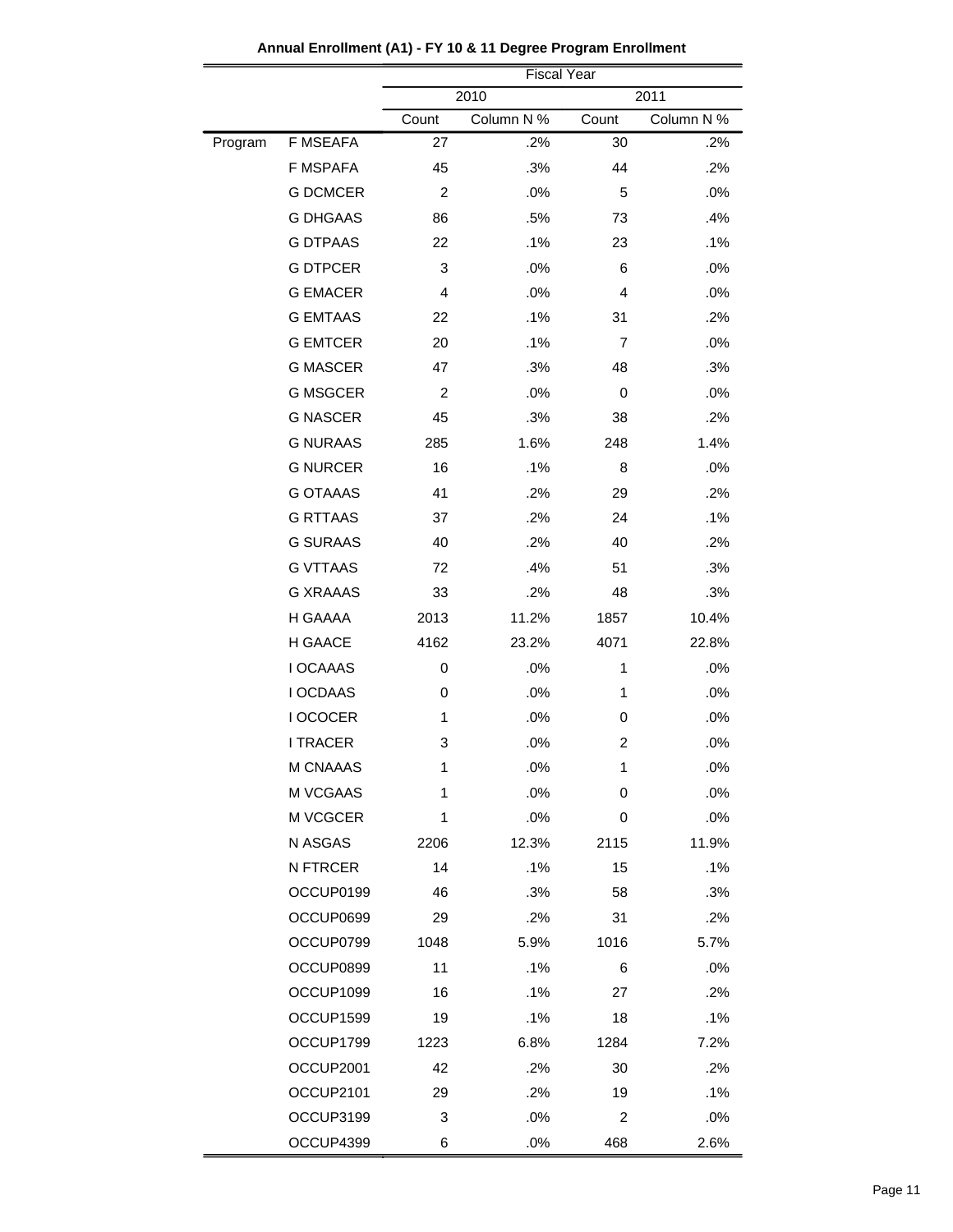|         |                 |                | <b>Fiscal Year</b> |                |            |
|---------|-----------------|----------------|--------------------|----------------|------------|
|         |                 |                | 2010               |                | 2011       |
|         |                 | Count          | Column N %         | Count          | Column N % |
| Program | <b>F MSEAFA</b> | 27             | .2%                | 30             | .2%        |
|         | <b>F MSPAFA</b> | 45             | .3%                | 44             | .2%        |
|         | <b>G DCMCER</b> | 2              | .0%                | 5              | .0%        |
|         | <b>G DHGAAS</b> | 86             | .5%                | 73             | .4%        |
|         | <b>G DTPAAS</b> | 22             | .1%                | 23             | .1%        |
|         | <b>G DTPCER</b> | 3              | .0%                | 6              | .0%        |
|         | <b>G EMACER</b> | 4              | .0%                | $\overline{4}$ | .0%        |
|         | <b>G EMTAAS</b> | 22             | .1%                | 31             | .2%        |
|         | <b>G EMTCER</b> | 20             | .1%                | 7              | .0%        |
|         | <b>G MASCER</b> | 47             | .3%                | 48             | .3%        |
|         | <b>G MSGCER</b> | $\overline{c}$ | .0%                | 0              | .0%        |
|         | <b>G NASCER</b> | 45             | .3%                | 38             | .2%        |
|         | <b>G NURAAS</b> | 285            | 1.6%               | 248            | 1.4%       |
|         | <b>G NURCER</b> | 16             | .1%                | 8              | .0%        |
|         | <b>G OTAAAS</b> | 41             | .2%                | 29             | .2%        |
|         | <b>G RTTAAS</b> | 37             | .2%                | 24             | .1%        |
|         | <b>G SURAAS</b> | 40             | .2%                | 40             | .2%        |
|         | <b>G VTTAAS</b> | 72             | .4%                | 51             | .3%        |
|         | <b>G XRAAAS</b> | 33             | .2%                | 48             | .3%        |
|         | H GAAAA         | 2013           | 11.2%              | 1857           | 10.4%      |
|         | H GAACE         | 4162           | 23.2%              | 4071           | 22.8%      |
|         | <b>I OCAAAS</b> | 0              | .0%                | $\mathbf{1}$   | .0%        |
|         | I OCDAAS        | 0              | .0%                | 1              | .0%        |
|         | I OCOCER        | 1              | .0%                | 0              | .0%        |
|         | <b>I TRACER</b> | 3              | .0%                | 2              | .0%        |
|         | M CNAAAS        | 1              | .0%                | 1              | $.0\%$     |
|         | M VCGAAS        | 1              | .0%                | 0              | .0%        |
|         | M VCGCER        | 1              | .0%                | 0              | .0%        |
|         | N ASGAS         | 2206           | 12.3%              | 2115           | 11.9%      |
|         | N FTRCER        | 14             | .1%                | 15             | .1%        |
|         | OCCUP0199       | 46             | .3%                | 58             | .3%        |
|         | OCCUP0699       | 29             | .2%                | 31             | .2%        |
|         | OCCUP0799       | 1048           | 5.9%               | 1016           | 5.7%       |
|         | OCCUP0899       | 11             | .1%                | 6              | .0%        |
|         | OCCUP1099       | 16             | .1%                | 27             | $.2\%$     |
|         | OCCUP1599       | 19             | .1%                | 18             | .1%        |
|         | OCCUP1799       | 1223           | 6.8%               | 1284           | 7.2%       |
|         | OCCUP2001       | 42             | .2%                | 30             | .2%        |
|         | OCCUP2101       | 29             | .2%                | 19             | $.1\%$     |
|         | OCCUP3199       | 3              | .0%                | 2              | .0%        |
|         | OCCUP4399       | 6              | .0%                | 468            | 2.6%       |

**Annual Enrollment (A1) - FY 10 & 11 Degree Program Enrollment**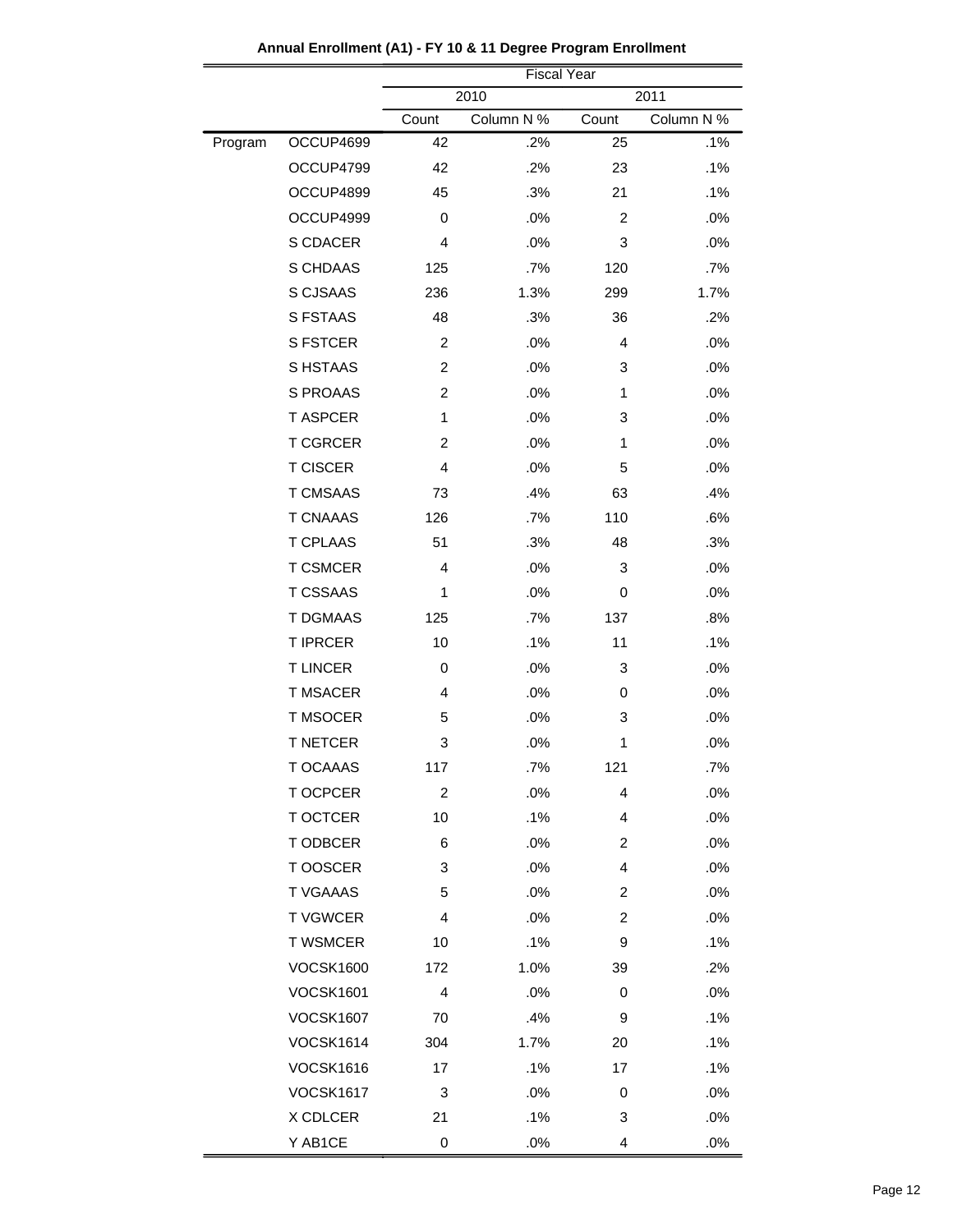|         |                  |                | <b>Fiscal Year</b> |                         |            |
|---------|------------------|----------------|--------------------|-------------------------|------------|
|         |                  |                | 2010               |                         | 2011       |
|         |                  | Count          | Column N %         | Count                   | Column N % |
| Program | OCCUP4699        | 42             | .2%                | 25                      | .1%        |
|         | OCCUP4799        | 42             | .2%                | 23                      | .1%        |
|         | OCCUP4899        | 45             | .3%                | 21                      | .1%        |
|         | OCCUP4999        | 0              | .0%                | 2                       | .0%        |
|         | S CDACER         | 4              | .0%                | 3                       | .0%        |
|         | S CHDAAS         | 125            | .7%                | 120                     | .7%        |
|         | S CJSAAS         | 236            | 1.3%               | 299                     | 1.7%       |
|         | S FSTAAS         | 48             | .3%                | 36                      | .2%        |
|         | <b>S FSTCER</b>  | 2              | .0%                | 4                       | .0%        |
|         | S HSTAAS         | $\overline{2}$ | .0%                | 3                       | .0%        |
|         | <b>S PROAAS</b>  | $\overline{2}$ | .0%                | 1                       | .0%        |
|         | <b>TASPCER</b>   | 1              | .0%                | 3                       | .0%        |
|         | <b>T CGRCER</b>  | $\overline{2}$ | .0%                | 1                       | .0%        |
|         | <b>T CISCER</b>  | 4              | .0%                | 5                       | .0%        |
|         | <b>T CMSAAS</b>  | 73             | .4%                | 63                      | .4%        |
|         | <b>T CNAAAS</b>  | 126            | .7%                | 110                     | .6%        |
|         | <b>T CPLAAS</b>  | 51             | .3%                | 48                      | .3%        |
|         | <b>T CSMCER</b>  | $\overline{4}$ | .0%                | 3                       | .0%        |
|         | <b>T CSSAAS</b>  | 1              | .0%                | 0                       | .0%        |
|         | <b>T DGMAAS</b>  | 125            | .7%                | 137                     | .8%        |
|         | <b>T IPRCER</b>  | 10             | .1%                | 11                      | .1%        |
|         | <b>TLINCER</b>   | 0              | .0%                | 3                       | .0%        |
|         | <b>T MSACER</b>  | 4              | .0%                | 0                       | .0%        |
|         | <b>T MSOCER</b>  | 5              | .0%                | 3                       | .0%        |
|         | <b>T NETCER</b>  | 3              | .0%                | 1                       | .0%        |
|         | T OCAAAS         | 117            | .7%                | 121                     | .7%        |
|         | <b>TOCPCER</b>   | $\overline{c}$ | .0%                | $\overline{4}$          | .0%        |
|         | <b>T OCTCER</b>  | 10             | .1%                | 4                       | $.0\%$     |
|         | T ODBCER         | 6              | .0%                | $\overline{\mathbf{c}}$ | .0%        |
|         | T OOSCER         | 3              | .0%                | 4                       | .0%        |
|         | <b>T VGAAAS</b>  | 5              | .0%                | 2                       | $.0\%$     |
|         | <b>TVGWCER</b>   | 4              | .0%                | $\overline{\mathbf{c}}$ | $.0\%$     |
|         | <b>T WSMCER</b>  | 10             | .1%                | 9                       | .1%        |
|         | <b>VOCSK1600</b> | 172            | 1.0%               | 39                      | $.2\%$     |
|         | <b>VOCSK1601</b> | 4              | .0%                | 0                       | $.0\%$     |
|         | <b>VOCSK1607</b> | 70             | .4%                | 9                       | .1%        |
|         | <b>VOCSK1614</b> | 304            | 1.7%               | 20                      | $.1\%$     |
|         | <b>VOCSK1616</b> | 17             | .1%                | 17                      | .1%        |
|         | <b>VOCSK1617</b> | 3              | .0%                | 0                       | $.0\%$     |
|         | X CDLCER         | 21             | .1%                | 3                       | .0%        |
|         | Y AB1CE          | 0              | .0%                | 4                       | .0%        |

## **Annual Enrollment (A1) - FY 10 & 11 Degree Program Enrollment**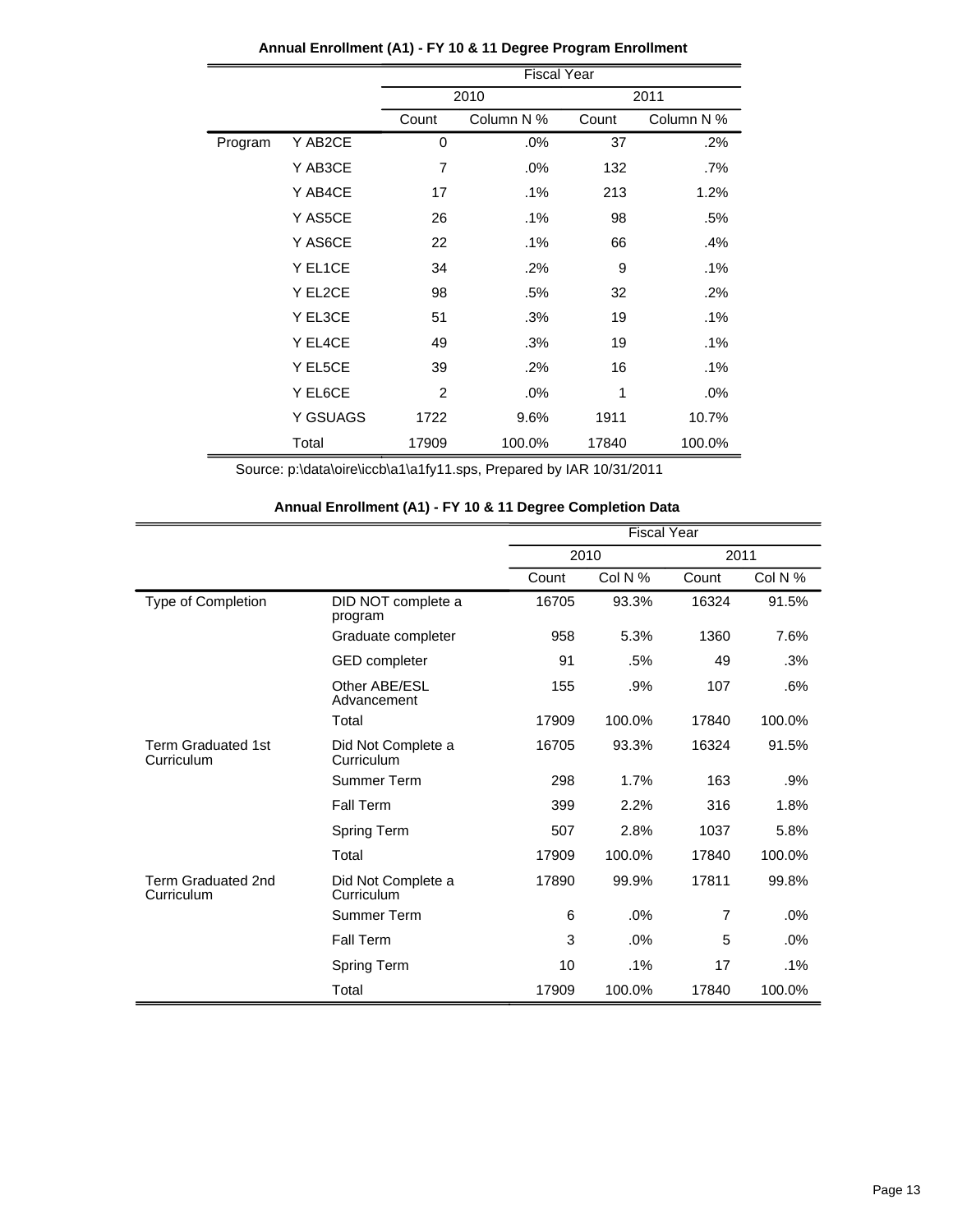|         |          | <b>Fiscal Year</b>  |        |       |            |  |  |
|---------|----------|---------------------|--------|-------|------------|--|--|
|         |          |                     | 2010   |       | 2011       |  |  |
|         |          | Count<br>Column N % |        | Count | Column N % |  |  |
| Program | Y AB2CE  | $\mathbf 0$         | .0%    | 37    | $.2\%$     |  |  |
|         | Y AB3CE  | $\overline{7}$      | .0%    | 132   | .7%        |  |  |
|         | Y AB4CE  | 17                  | .1%    | 213   | 1.2%       |  |  |
|         | Y AS5CE  | 26                  | .1%    | 98    | .5%        |  |  |
|         | Y AS6CE  | 22                  | .1%    | 66    | .4%        |  |  |
|         | Y EL1CE  | 34                  | .2%    | 9     | $.1\%$     |  |  |
|         | Y EL2CE  | 98                  | .5%    | 32    | .2%        |  |  |
|         | Y EL3CE  | 51                  | .3%    | 19    | $.1\%$     |  |  |
|         | Y EL4CE  | 49                  | .3%    | 19    | .1%        |  |  |
|         | Y EL5CE  | 39                  | .2%    | 16    | $.1\%$     |  |  |
|         | Y EL6CE  | 2                   | .0%    | 1     | $.0\%$     |  |  |
|         | Y GSUAGS | 1722                | 9.6%   | 1911  | 10.7%      |  |  |
|         | Total    | 17909               | 100.0% | 17840 | 100.0%     |  |  |

## **Annual Enrollment (A1) - FY 10 & 11 Degree Program Enrollment**

Source: p:\data\oire\iccb\a1\a1fy11.sps, Prepared by IAR 10/31/2011

|                                         |                                  | <b>Fiscal Year</b> |         |                |         |
|-----------------------------------------|----------------------------------|--------------------|---------|----------------|---------|
|                                         |                                  | 2010               |         | 2011           |         |
|                                         |                                  | Count              | Col N % | Count          | Col N % |
| Type of Completion                      | DID NOT complete a<br>program    | 16705              | 93.3%   | 16324          | 91.5%   |
|                                         | Graduate completer               | 958                | 5.3%    | 1360           | 7.6%    |
|                                         | <b>GED</b> completer             | 91                 | .5%     | 49             | .3%     |
|                                         | Other ABE/ESL<br>Advancement     | 155                | .9%     | 107            | .6%     |
|                                         | Total                            | 17909              | 100.0%  | 17840          | 100.0%  |
| <b>Term Graduated 1st</b><br>Curriculum | Did Not Complete a<br>Curriculum | 16705              | 93.3%   | 16324          | 91.5%   |
|                                         | Summer Term                      | 298                | 1.7%    | 163            | .9%     |
|                                         | Fall Term                        | 399                | 2.2%    | 316            | 1.8%    |
|                                         | Spring Term                      | 507                | 2.8%    | 1037           | 5.8%    |
|                                         | Total                            | 17909              | 100.0%  | 17840          | 100.0%  |
| Term Graduated 2nd<br>Curriculum        | Did Not Complete a<br>Curriculum | 17890              | 99.9%   | 17811          | 99.8%   |
|                                         | Summer Term                      | 6                  | .0%     | $\overline{7}$ | .0%     |
|                                         | Fall Term                        | 3                  | .0%     | 5              | .0%     |
|                                         | Spring Term                      | 10                 | $.1\%$  | 17             | .1%     |
|                                         | Total                            | 17909              | 100.0%  | 17840          | 100.0%  |

# **Annual Enrollment (A1) - FY 10 & 11 Degree Completion Data**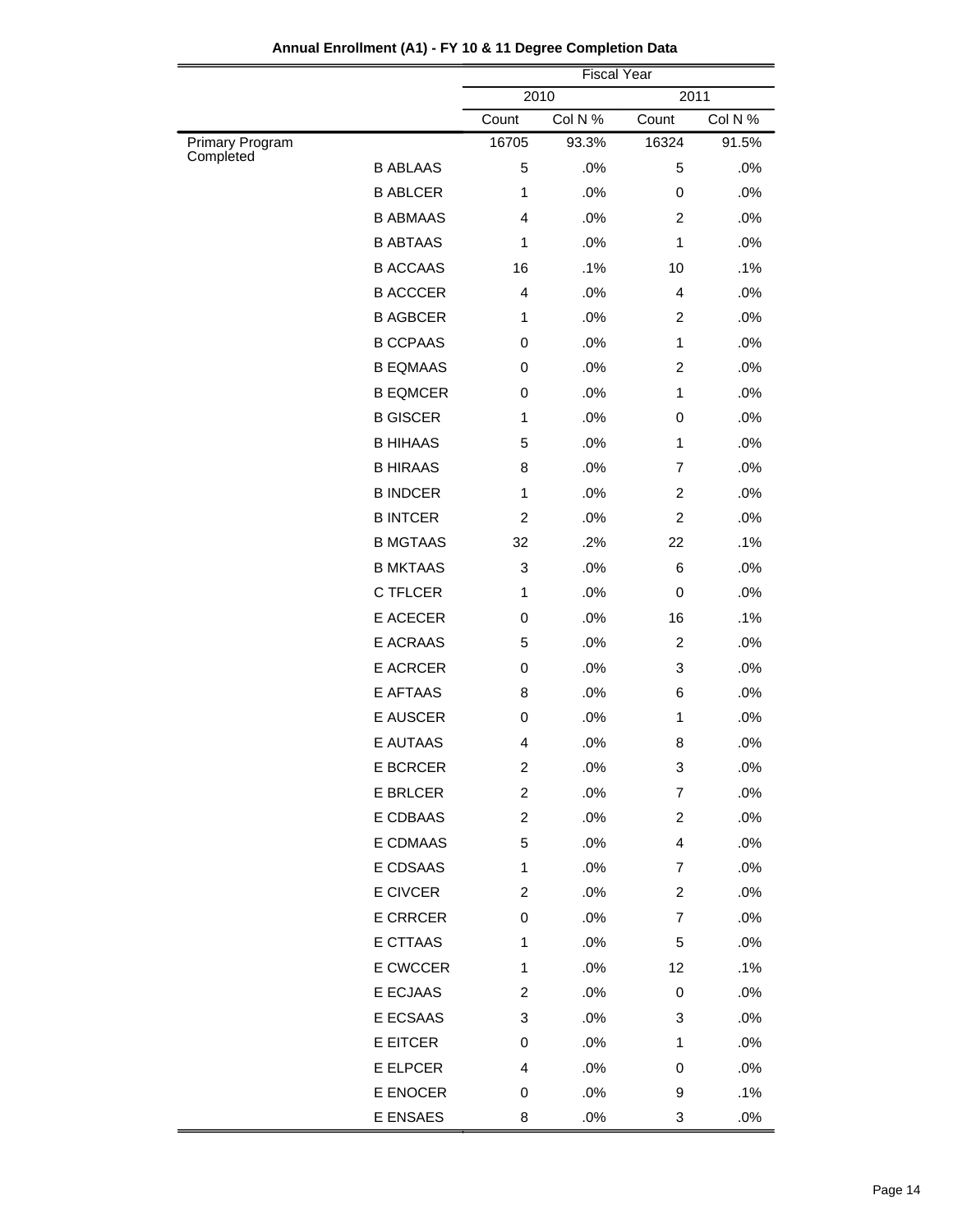|                              |                 | <b>Fiscal Year</b>      |         |                |         |  |
|------------------------------|-----------------|-------------------------|---------|----------------|---------|--|
|                              |                 |                         | 2010    |                | 2011    |  |
|                              |                 | Count                   | Col N % | Count          | Col N % |  |
| Primary Program<br>Completed |                 | 16705                   | 93.3%   | 16324          | 91.5%   |  |
|                              | <b>B ABLAAS</b> | 5                       | .0%     | 5              | .0%     |  |
|                              | <b>B ABLCER</b> | 1                       | .0%     | 0              | .0%     |  |
|                              | <b>B ABMAAS</b> | $\overline{4}$          | .0%     | $\overline{2}$ | .0%     |  |
|                              | <b>B ABTAAS</b> | $\mathbf{1}$            | .0%     | 1              | .0%     |  |
|                              | <b>B ACCAAS</b> | 16                      | .1%     | 10             | .1%     |  |
|                              | <b>B ACCCER</b> | $\overline{4}$          | .0%     | 4              | .0%     |  |
|                              | <b>B AGBCER</b> | $\mathbf{1}$            | .0%     | $\overline{c}$ | .0%     |  |
|                              | <b>B CCPAAS</b> | 0                       | .0%     | 1              | .0%     |  |
|                              | <b>B EQMAAS</b> | 0                       | .0%     | $\overline{2}$ | .0%     |  |
|                              | <b>B EQMCER</b> | 0                       | .0%     | 1              | .0%     |  |
|                              | <b>B GISCER</b> | $\mathbf{1}$            | .0%     | 0              | .0%     |  |
|                              | <b>B HIHAAS</b> | 5                       | .0%     | 1              | .0%     |  |
|                              | <b>B HIRAAS</b> | 8                       | .0%     | 7              | .0%     |  |
|                              | <b>B INDCER</b> | $\mathbf{1}$            | .0%     | $\overline{c}$ | .0%     |  |
|                              | <b>B INTCER</b> | $\overline{c}$          | .0%     | $\overline{c}$ | .0%     |  |
|                              | <b>B MGTAAS</b> | 32                      | .2%     | 22             | .1%     |  |
|                              | <b>B MKTAAS</b> | 3                       | .0%     | 6              | .0%     |  |
|                              | <b>C TFLCER</b> | 1                       | .0%     | $\mathbf 0$    | .0%     |  |
|                              | E ACECER        | 0                       | .0%     | 16             | .1%     |  |
|                              | E ACRAAS        | 5                       | .0%     | $\overline{c}$ | .0%     |  |
|                              | <b>E ACRCER</b> | 0                       | .0%     | 3              | .0%     |  |
|                              | E AFTAAS        | 8                       | .0%     | 6              | .0%     |  |
|                              | E AUSCER        | 0                       | .0%     | 1              | .0%     |  |
|                              | <b>E AUTAAS</b> | $\overline{4}$          | .0%     | 8              | .0%     |  |
|                              | E BCRCER        | $\overline{\mathbf{c}}$ | .0%     | 3              | .0%     |  |
|                              | <b>E BRLCER</b> | $\overline{c}$          | .0%     | 7              | .0%     |  |
|                              | E CDBAAS        | $\overline{c}$          | .0%     | 2              | .0%     |  |
|                              | E CDMAAS        | 5                       | .0%     | 4              | .0%     |  |
|                              | E CDSAAS        | 1                       | .0%     | 7              | .0%     |  |
|                              | E CIVCER        | $\overline{c}$          | .0%     | 2              | .0%     |  |
|                              | E CRRCER        | 0                       | .0%     | 7              | .0%     |  |
|                              | <b>E CTTAAS</b> | 1                       | $.0\%$  | 5              | .0%     |  |
|                              | E CWCCER        | 1                       | .0%     | 12             | .1%     |  |
|                              | E ECJAAS        | $\overline{c}$          | .0%     | 0              | .0%     |  |
|                              | E ECSAAS        | 3                       | $.0\%$  | 3              | .0%     |  |
|                              | E EITCER        | 0                       | .0%     | 1              | .0%     |  |
|                              | E ELPCER        | 4                       | .0%     | 0              | .0%     |  |
|                              | E ENOCER        | 0                       | .0%     | 9              | .1%     |  |
|                              | E ENSAES        | 8                       | .0%     | 3              | .0%     |  |
|                              |                 |                         |         |                |         |  |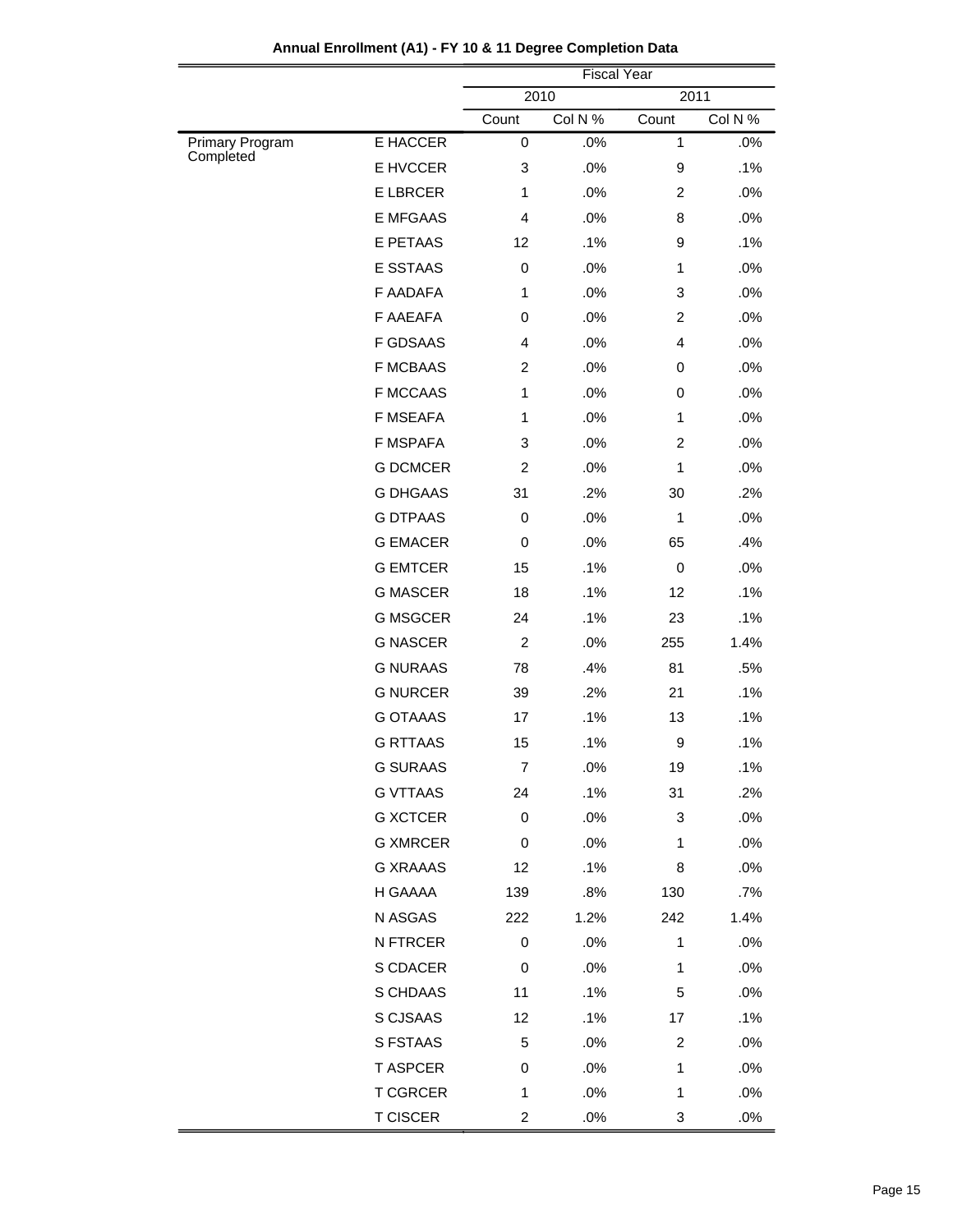| 2010<br>2011<br>Col N %<br>Count<br>Count<br>E HACCER<br>.0%<br>$\mathbf{1}$<br>Primary Program<br>0<br>Completed<br>E HVCCER<br>.0%<br>3<br>9<br><b>E LBRCER</b><br>.0%<br>$\overline{c}$<br>1<br><b>E MFGAAS</b><br>4<br>.0%<br>8<br>E PETAAS<br>.1%<br>12<br>9<br><b>E SSTAAS</b><br>.0%<br>0<br>1<br>F AADAFA<br>1<br>.0%<br>3<br>F AAEAFA<br>.0%<br>$\mathbf 0$<br>2<br><b>F GDSAAS</b><br>4<br>.0%<br>4<br><b>F MCBAAS</b><br>2<br>.0%<br>0<br><b>F MCCAAS</b><br>.0%<br>1<br>0<br><b>F MSEAFA</b><br>1<br>.0%<br>$\mathbf{1}$<br><b>F MSPAFA</b><br>.0%<br>3<br>$\overline{c}$<br><b>G DCMCER</b><br>$\overline{c}$<br>.0%<br>$\mathbf{1}$<br><b>G DHGAAS</b><br>31<br>.2%<br>30<br><b>G DTPAAS</b><br>$\mathbf 0$<br>.0%<br>1<br><b>G EMACER</b><br>$\mathbf 0$<br>.0%<br>65<br><b>G EMTCER</b><br>.1%<br>15<br>0<br><b>G MASCER</b><br>.1%<br>18<br>12<br><b>G MSGCER</b><br>24<br>.1%<br>23<br><b>G NASCER</b><br>$\overline{c}$<br>.0%<br>255<br><b>G NURAAS</b><br>.4%<br>78<br>81<br><b>G NURCER</b><br>39<br>.2%<br>21<br><b>G OTAAAS</b><br>.1%<br>17<br>13<br><b>G RTTAAS</b><br>.1%<br>15<br>9<br><b>G SURAAS</b><br>$\boldsymbol{7}$<br>.0%<br>19<br><b>G VTTAAS</b><br>.1%<br>31<br>24<br><b>G XCTCER</b><br>.0%<br>0<br>3<br><b>G XMRCER</b><br>$\,0\,$<br>.0%<br>1<br><b>G XRAAAS</b><br>12<br>.1%<br>8<br>H GAAAA<br>.8%<br>130<br>139<br>N ASGAS<br>1.2%<br>242<br>222<br>N FTRCER<br>$\pmb{0}$<br>.0%<br>1 | <b>Fiscal Year</b> |  |  |  |  |
|------------------------------------------------------------------------------------------------------------------------------------------------------------------------------------------------------------------------------------------------------------------------------------------------------------------------------------------------------------------------------------------------------------------------------------------------------------------------------------------------------------------------------------------------------------------------------------------------------------------------------------------------------------------------------------------------------------------------------------------------------------------------------------------------------------------------------------------------------------------------------------------------------------------------------------------------------------------------------------------------------------------------------------------------------------------------------------------------------------------------------------------------------------------------------------------------------------------------------------------------------------------------------------------------------------------------------------------------------------------------------------------------------------------------------------|--------------------|--|--|--|--|
|                                                                                                                                                                                                                                                                                                                                                                                                                                                                                                                                                                                                                                                                                                                                                                                                                                                                                                                                                                                                                                                                                                                                                                                                                                                                                                                                                                                                                                    |                    |  |  |  |  |
|                                                                                                                                                                                                                                                                                                                                                                                                                                                                                                                                                                                                                                                                                                                                                                                                                                                                                                                                                                                                                                                                                                                                                                                                                                                                                                                                                                                                                                    | Col N %            |  |  |  |  |
|                                                                                                                                                                                                                                                                                                                                                                                                                                                                                                                                                                                                                                                                                                                                                                                                                                                                                                                                                                                                                                                                                                                                                                                                                                                                                                                                                                                                                                    | .0%                |  |  |  |  |
|                                                                                                                                                                                                                                                                                                                                                                                                                                                                                                                                                                                                                                                                                                                                                                                                                                                                                                                                                                                                                                                                                                                                                                                                                                                                                                                                                                                                                                    | .1%                |  |  |  |  |
|                                                                                                                                                                                                                                                                                                                                                                                                                                                                                                                                                                                                                                                                                                                                                                                                                                                                                                                                                                                                                                                                                                                                                                                                                                                                                                                                                                                                                                    | .0%                |  |  |  |  |
|                                                                                                                                                                                                                                                                                                                                                                                                                                                                                                                                                                                                                                                                                                                                                                                                                                                                                                                                                                                                                                                                                                                                                                                                                                                                                                                                                                                                                                    | .0%                |  |  |  |  |
|                                                                                                                                                                                                                                                                                                                                                                                                                                                                                                                                                                                                                                                                                                                                                                                                                                                                                                                                                                                                                                                                                                                                                                                                                                                                                                                                                                                                                                    | .1%                |  |  |  |  |
|                                                                                                                                                                                                                                                                                                                                                                                                                                                                                                                                                                                                                                                                                                                                                                                                                                                                                                                                                                                                                                                                                                                                                                                                                                                                                                                                                                                                                                    | .0%                |  |  |  |  |
|                                                                                                                                                                                                                                                                                                                                                                                                                                                                                                                                                                                                                                                                                                                                                                                                                                                                                                                                                                                                                                                                                                                                                                                                                                                                                                                                                                                                                                    | .0%                |  |  |  |  |
|                                                                                                                                                                                                                                                                                                                                                                                                                                                                                                                                                                                                                                                                                                                                                                                                                                                                                                                                                                                                                                                                                                                                                                                                                                                                                                                                                                                                                                    | .0%                |  |  |  |  |
|                                                                                                                                                                                                                                                                                                                                                                                                                                                                                                                                                                                                                                                                                                                                                                                                                                                                                                                                                                                                                                                                                                                                                                                                                                                                                                                                                                                                                                    | .0%                |  |  |  |  |
|                                                                                                                                                                                                                                                                                                                                                                                                                                                                                                                                                                                                                                                                                                                                                                                                                                                                                                                                                                                                                                                                                                                                                                                                                                                                                                                                                                                                                                    | .0%                |  |  |  |  |
|                                                                                                                                                                                                                                                                                                                                                                                                                                                                                                                                                                                                                                                                                                                                                                                                                                                                                                                                                                                                                                                                                                                                                                                                                                                                                                                                                                                                                                    | .0%                |  |  |  |  |
|                                                                                                                                                                                                                                                                                                                                                                                                                                                                                                                                                                                                                                                                                                                                                                                                                                                                                                                                                                                                                                                                                                                                                                                                                                                                                                                                                                                                                                    | .0%                |  |  |  |  |
|                                                                                                                                                                                                                                                                                                                                                                                                                                                                                                                                                                                                                                                                                                                                                                                                                                                                                                                                                                                                                                                                                                                                                                                                                                                                                                                                                                                                                                    | .0%                |  |  |  |  |
|                                                                                                                                                                                                                                                                                                                                                                                                                                                                                                                                                                                                                                                                                                                                                                                                                                                                                                                                                                                                                                                                                                                                                                                                                                                                                                                                                                                                                                    | .0%                |  |  |  |  |
|                                                                                                                                                                                                                                                                                                                                                                                                                                                                                                                                                                                                                                                                                                                                                                                                                                                                                                                                                                                                                                                                                                                                                                                                                                                                                                                                                                                                                                    | .2%                |  |  |  |  |
|                                                                                                                                                                                                                                                                                                                                                                                                                                                                                                                                                                                                                                                                                                                                                                                                                                                                                                                                                                                                                                                                                                                                                                                                                                                                                                                                                                                                                                    | .0%                |  |  |  |  |
|                                                                                                                                                                                                                                                                                                                                                                                                                                                                                                                                                                                                                                                                                                                                                                                                                                                                                                                                                                                                                                                                                                                                                                                                                                                                                                                                                                                                                                    | .4%                |  |  |  |  |
|                                                                                                                                                                                                                                                                                                                                                                                                                                                                                                                                                                                                                                                                                                                                                                                                                                                                                                                                                                                                                                                                                                                                                                                                                                                                                                                                                                                                                                    | .0%                |  |  |  |  |
|                                                                                                                                                                                                                                                                                                                                                                                                                                                                                                                                                                                                                                                                                                                                                                                                                                                                                                                                                                                                                                                                                                                                                                                                                                                                                                                                                                                                                                    | .1%                |  |  |  |  |
|                                                                                                                                                                                                                                                                                                                                                                                                                                                                                                                                                                                                                                                                                                                                                                                                                                                                                                                                                                                                                                                                                                                                                                                                                                                                                                                                                                                                                                    | .1%                |  |  |  |  |
|                                                                                                                                                                                                                                                                                                                                                                                                                                                                                                                                                                                                                                                                                                                                                                                                                                                                                                                                                                                                                                                                                                                                                                                                                                                                                                                                                                                                                                    | 1.4%               |  |  |  |  |
|                                                                                                                                                                                                                                                                                                                                                                                                                                                                                                                                                                                                                                                                                                                                                                                                                                                                                                                                                                                                                                                                                                                                                                                                                                                                                                                                                                                                                                    | .5%                |  |  |  |  |
|                                                                                                                                                                                                                                                                                                                                                                                                                                                                                                                                                                                                                                                                                                                                                                                                                                                                                                                                                                                                                                                                                                                                                                                                                                                                                                                                                                                                                                    | .1%                |  |  |  |  |
|                                                                                                                                                                                                                                                                                                                                                                                                                                                                                                                                                                                                                                                                                                                                                                                                                                                                                                                                                                                                                                                                                                                                                                                                                                                                                                                                                                                                                                    | .1%                |  |  |  |  |
|                                                                                                                                                                                                                                                                                                                                                                                                                                                                                                                                                                                                                                                                                                                                                                                                                                                                                                                                                                                                                                                                                                                                                                                                                                                                                                                                                                                                                                    | .1%                |  |  |  |  |
|                                                                                                                                                                                                                                                                                                                                                                                                                                                                                                                                                                                                                                                                                                                                                                                                                                                                                                                                                                                                                                                                                                                                                                                                                                                                                                                                                                                                                                    | .1%                |  |  |  |  |
|                                                                                                                                                                                                                                                                                                                                                                                                                                                                                                                                                                                                                                                                                                                                                                                                                                                                                                                                                                                                                                                                                                                                                                                                                                                                                                                                                                                                                                    | .2%                |  |  |  |  |
|                                                                                                                                                                                                                                                                                                                                                                                                                                                                                                                                                                                                                                                                                                                                                                                                                                                                                                                                                                                                                                                                                                                                                                                                                                                                                                                                                                                                                                    | .0%                |  |  |  |  |
|                                                                                                                                                                                                                                                                                                                                                                                                                                                                                                                                                                                                                                                                                                                                                                                                                                                                                                                                                                                                                                                                                                                                                                                                                                                                                                                                                                                                                                    | .0%                |  |  |  |  |
|                                                                                                                                                                                                                                                                                                                                                                                                                                                                                                                                                                                                                                                                                                                                                                                                                                                                                                                                                                                                                                                                                                                                                                                                                                                                                                                                                                                                                                    | .0%                |  |  |  |  |
|                                                                                                                                                                                                                                                                                                                                                                                                                                                                                                                                                                                                                                                                                                                                                                                                                                                                                                                                                                                                                                                                                                                                                                                                                                                                                                                                                                                                                                    | .7%                |  |  |  |  |
|                                                                                                                                                                                                                                                                                                                                                                                                                                                                                                                                                                                                                                                                                                                                                                                                                                                                                                                                                                                                                                                                                                                                                                                                                                                                                                                                                                                                                                    | 1.4%               |  |  |  |  |
|                                                                                                                                                                                                                                                                                                                                                                                                                                                                                                                                                                                                                                                                                                                                                                                                                                                                                                                                                                                                                                                                                                                                                                                                                                                                                                                                                                                                                                    | .0%                |  |  |  |  |
| S CDACER<br>$\pmb{0}$<br>.0%<br>1                                                                                                                                                                                                                                                                                                                                                                                                                                                                                                                                                                                                                                                                                                                                                                                                                                                                                                                                                                                                                                                                                                                                                                                                                                                                                                                                                                                                  | .0%                |  |  |  |  |
| S CHDAAS<br>11<br>.1%<br>5                                                                                                                                                                                                                                                                                                                                                                                                                                                                                                                                                                                                                                                                                                                                                                                                                                                                                                                                                                                                                                                                                                                                                                                                                                                                                                                                                                                                         | .0%                |  |  |  |  |
| S CJSAAS<br>12<br>.1%<br>17                                                                                                                                                                                                                                                                                                                                                                                                                                                                                                                                                                                                                                                                                                                                                                                                                                                                                                                                                                                                                                                                                                                                                                                                                                                                                                                                                                                                        | .1%                |  |  |  |  |
| S FSTAAS<br>5<br>.0%<br>2                                                                                                                                                                                                                                                                                                                                                                                                                                                                                                                                                                                                                                                                                                                                                                                                                                                                                                                                                                                                                                                                                                                                                                                                                                                                                                                                                                                                          | .0%                |  |  |  |  |
| <b>T ASPCER</b><br>0<br>.0%<br>$\mathbf{1}$                                                                                                                                                                                                                                                                                                                                                                                                                                                                                                                                                                                                                                                                                                                                                                                                                                                                                                                                                                                                                                                                                                                                                                                                                                                                                                                                                                                        | .0%                |  |  |  |  |
| <b>T CGRCER</b><br>1<br>.0%<br>1                                                                                                                                                                                                                                                                                                                                                                                                                                                                                                                                                                                                                                                                                                                                                                                                                                                                                                                                                                                                                                                                                                                                                                                                                                                                                                                                                                                                   | .0%                |  |  |  |  |
| <b>T CISCER</b><br>$\overline{\mathbf{c}}$<br>.0%<br>3                                                                                                                                                                                                                                                                                                                                                                                                                                                                                                                                                                                                                                                                                                                                                                                                                                                                                                                                                                                                                                                                                                                                                                                                                                                                                                                                                                             | .0%                |  |  |  |  |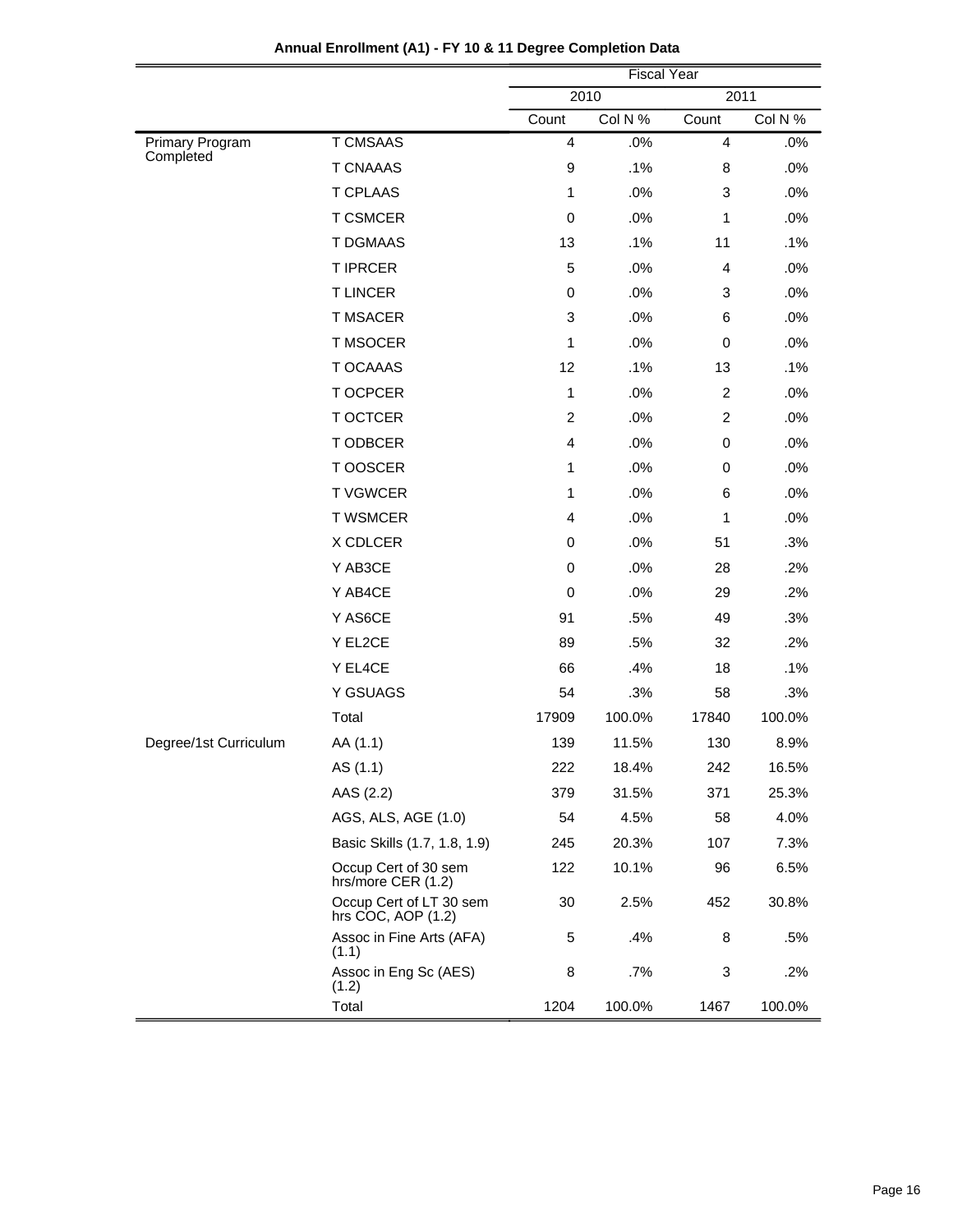|                       |                                               | <b>Fiscal Year</b> |         |                |         |  |
|-----------------------|-----------------------------------------------|--------------------|---------|----------------|---------|--|
|                       |                                               |                    | 2010    | 2011           |         |  |
|                       |                                               | Count              | Col N % | Count          | Col N % |  |
| Primary Program       | <b>T CMSAAS</b>                               | $\overline{4}$     | .0%     | $\overline{4}$ | .0%     |  |
| Completed             | <b>T CNAAAS</b>                               | $\boldsymbol{9}$   | .1%     | 8              | .0%     |  |
|                       | <b>T CPLAAS</b>                               | 1                  | .0%     | 3              | .0%     |  |
|                       | <b>T CSMCER</b>                               | $\pmb{0}$          | .0%     | $\mathbf{1}$   | .0%     |  |
|                       | <b>T DGMAAS</b>                               | 13                 | .1%     | 11             | .1%     |  |
|                       | <b>T IPRCER</b>                               | 5                  | .0%     | $\overline{4}$ | .0%     |  |
|                       | <b>TLINCER</b>                                | $\pmb{0}$          | .0%     | 3              | .0%     |  |
|                       | <b>T MSACER</b>                               | 3                  | .0%     | 6              | .0%     |  |
|                       | <b>T MSOCER</b>                               | 1                  | .0%     | $\pmb{0}$      | .0%     |  |
|                       | <b>T OCAAAS</b>                               | 12                 | .1%     | 13             | .1%     |  |
|                       | <b>TOCPCER</b>                                | 1                  | .0%     | $\overline{c}$ | .0%     |  |
|                       | <b>T OCTCER</b>                               | $\overline{2}$     | .0%     | $\overline{c}$ | .0%     |  |
|                       | <b>TODBCER</b>                                | $\overline{4}$     | .0%     | $\pmb{0}$      | .0%     |  |
|                       | T OOSCER                                      | 1                  | .0%     | $\pmb{0}$      | .0%     |  |
|                       | <b>TVGWCER</b>                                | 1                  | .0%     | 6              | .0%     |  |
|                       | <b>T WSMCER</b>                               | $\overline{4}$     | .0%     | 1              | .0%     |  |
|                       | X CDLCER                                      | $\pmb{0}$          | .0%     | 51             | .3%     |  |
|                       | Y AB3CE                                       | $\mathbf 0$        | .0%     | 28             | .2%     |  |
|                       | Y AB4CE                                       | $\mathbf 0$        | .0%     | 29             | .2%     |  |
|                       | Y AS6CE                                       | 91                 | .5%     | 49             | .3%     |  |
|                       | Y EL2CE                                       | 89                 | .5%     | 32             | .2%     |  |
|                       | Y EL4CE                                       | 66                 | .4%     | 18             | .1%     |  |
|                       | Y GSUAGS                                      | 54                 | .3%     | 58             | .3%     |  |
|                       | Total                                         | 17909              | 100.0%  | 17840          | 100.0%  |  |
| Degree/1st Curriculum | AA (1.1)                                      | 139                | 11.5%   | 130            | 8.9%    |  |
|                       | AS (1.1)                                      | 222                | 18.4%   | 242            | 16.5%   |  |
|                       | AAS (2.2)                                     | 379                | 31.5%   | 371            | 25.3%   |  |
|                       | AGS, ALS, AGE (1.0)                           | 54                 | 4.5%    | 58             | 4.0%    |  |
|                       | Basic Skills (1.7, 1.8, 1.9)                  | 245                | 20.3%   | 107            | 7.3%    |  |
|                       | Occup Cert of 30 sem<br>hrs/more CER (1.2)    | 122                | 10.1%   | 96             | 6.5%    |  |
|                       | Occup Cert of LT 30 sem<br>hrs COC, AOP (1.2) | 30                 | 2.5%    | 452            | 30.8%   |  |
|                       | Assoc in Fine Arts (AFA)<br>(1.1)             | 5                  | .4%     | 8              | .5%     |  |
|                       | Assoc in Eng Sc (AES)<br>(1.2)                | 8                  | .7%     | 3              | .2%     |  |
|                       | Total                                         | 1204               | 100.0%  | 1467           | 100.0%  |  |

# **Annual Enrollment (A1) - FY 10 & 11 Degree Completion Data**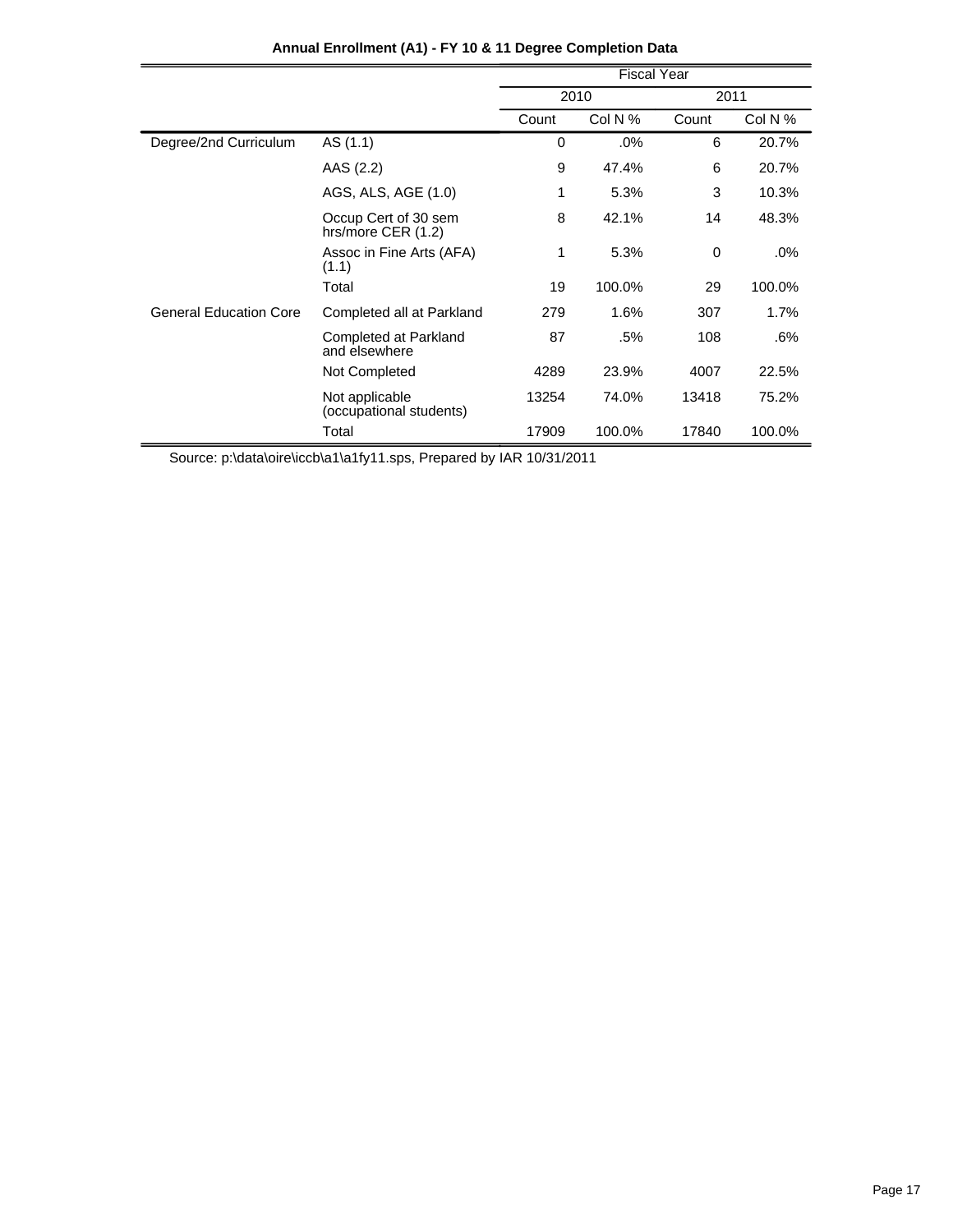|                               |                                            | <b>Fiscal Year</b> |         |       |         |
|-------------------------------|--------------------------------------------|--------------------|---------|-------|---------|
|                               |                                            | 2010               |         | 2011  |         |
|                               |                                            | Count              | Col N % | Count | Col N % |
| Degree/2nd Curriculum         | AS (1.1)                                   | 0                  | .0%     | 6     | 20.7%   |
|                               | AAS (2.2)                                  | 9                  | 47.4%   | 6     | 20.7%   |
|                               | AGS, ALS, AGE (1.0)                        | 1                  | 5.3%    | 3     | 10.3%   |
|                               | Occup Cert of 30 sem<br>hrs/more CER (1.2) | 8                  | 42.1%   | 14    | 48.3%   |
|                               | Assoc in Fine Arts (AFA)<br>(1.1)          | 1                  | 5.3%    | 0     | .0%     |
|                               | Total                                      | 19                 | 100.0%  | 29    | 100.0%  |
| <b>General Education Core</b> | Completed all at Parkland                  | 279                | 1.6%    | 307   | 1.7%    |
|                               | Completed at Parkland<br>and elsewhere     | 87                 | .5%     | 108   | .6%     |
|                               | Not Completed                              | 4289               | 23.9%   | 4007  | 22.5%   |
|                               | Not applicable<br>(occupational students)  | 13254              | 74.0%   | 13418 | 75.2%   |
|                               | Total                                      | 17909              | 100.0%  | 17840 | 100.0%  |

# **Annual Enrollment (A1) - FY 10 & 11 Degree Completion Data**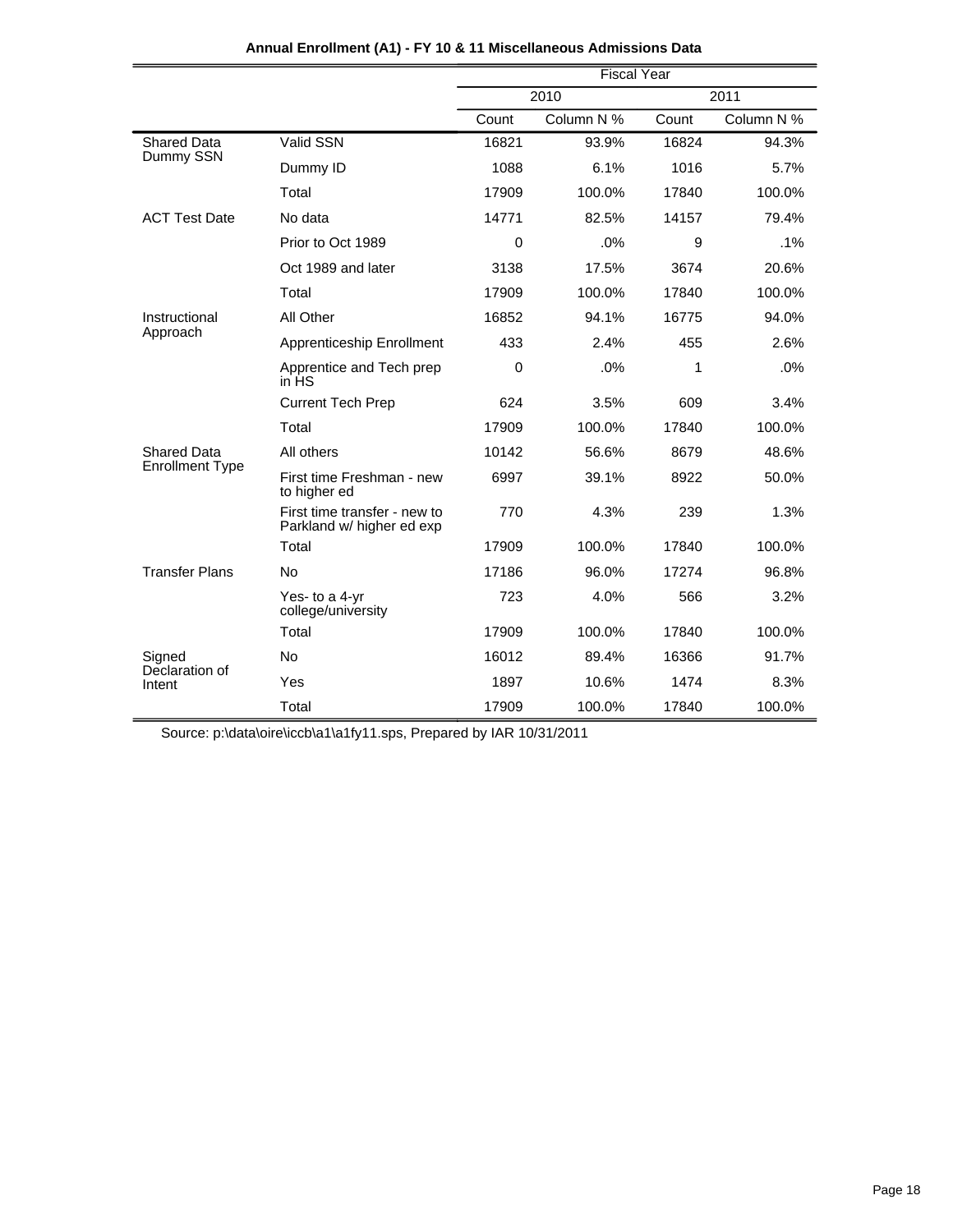|                          |                                                           | <b>Fiscal Year</b> |            |       |            |
|--------------------------|-----------------------------------------------------------|--------------------|------------|-------|------------|
|                          |                                                           |                    | 2010       |       | 2011       |
|                          |                                                           | Count              | Column N % | Count | Column N % |
| <b>Shared Data</b>       | Valid SSN                                                 | 16821              | 93.9%      | 16824 | 94.3%      |
| Dummy SSN                | Dummy ID                                                  | 1088               | 6.1%       | 1016  | 5.7%       |
|                          | Total                                                     | 17909              | 100.0%     | 17840 | 100.0%     |
| <b>ACT Test Date</b>     | No data                                                   | 14771              | 82.5%      | 14157 | 79.4%      |
|                          | Prior to Oct 1989                                         | 0                  | .0%        | 9     | $.1\%$     |
|                          | Oct 1989 and later                                        | 3138               | 17.5%      | 3674  | 20.6%      |
|                          | Total                                                     | 17909              | 100.0%     | 17840 | 100.0%     |
| Instructional            | All Other                                                 | 16852              | 94.1%      | 16775 | 94.0%      |
| Approach                 | Apprenticeship Enrollment                                 | 433                | 2.4%       | 455   | 2.6%       |
|                          | Apprentice and Tech prep<br>in HS                         | 0                  | .0%        | 1     | .0%        |
|                          | <b>Current Tech Prep</b>                                  | 624                | 3.5%       | 609   | 3.4%       |
|                          | Total                                                     | 17909              | 100.0%     | 17840 | 100.0%     |
| <b>Shared Data</b>       | All others                                                | 10142              | 56.6%      | 8679  | 48.6%      |
| <b>Enrollment Type</b>   | First time Freshman - new<br>to higher ed                 | 6997               | 39.1%      | 8922  | 50.0%      |
|                          | First time transfer - new to<br>Parkland w/ higher ed exp | 770                | 4.3%       | 239   | 1.3%       |
|                          | Total                                                     | 17909              | 100.0%     | 17840 | 100.0%     |
| <b>Transfer Plans</b>    | <b>No</b>                                                 | 17186              | 96.0%      | 17274 | 96.8%      |
|                          | Yes- to a 4-yr<br>college/university                      | 723                | 4.0%       | 566   | 3.2%       |
|                          | Total                                                     | 17909              | 100.0%     | 17840 | 100.0%     |
| Signed<br>Declaration of | <b>No</b>                                                 | 16012              | 89.4%      | 16366 | 91.7%      |
| Intent                   | Yes                                                       | 1897               | 10.6%      | 1474  | 8.3%       |
|                          | Total                                                     | 17909              | 100.0%     | 17840 | 100.0%     |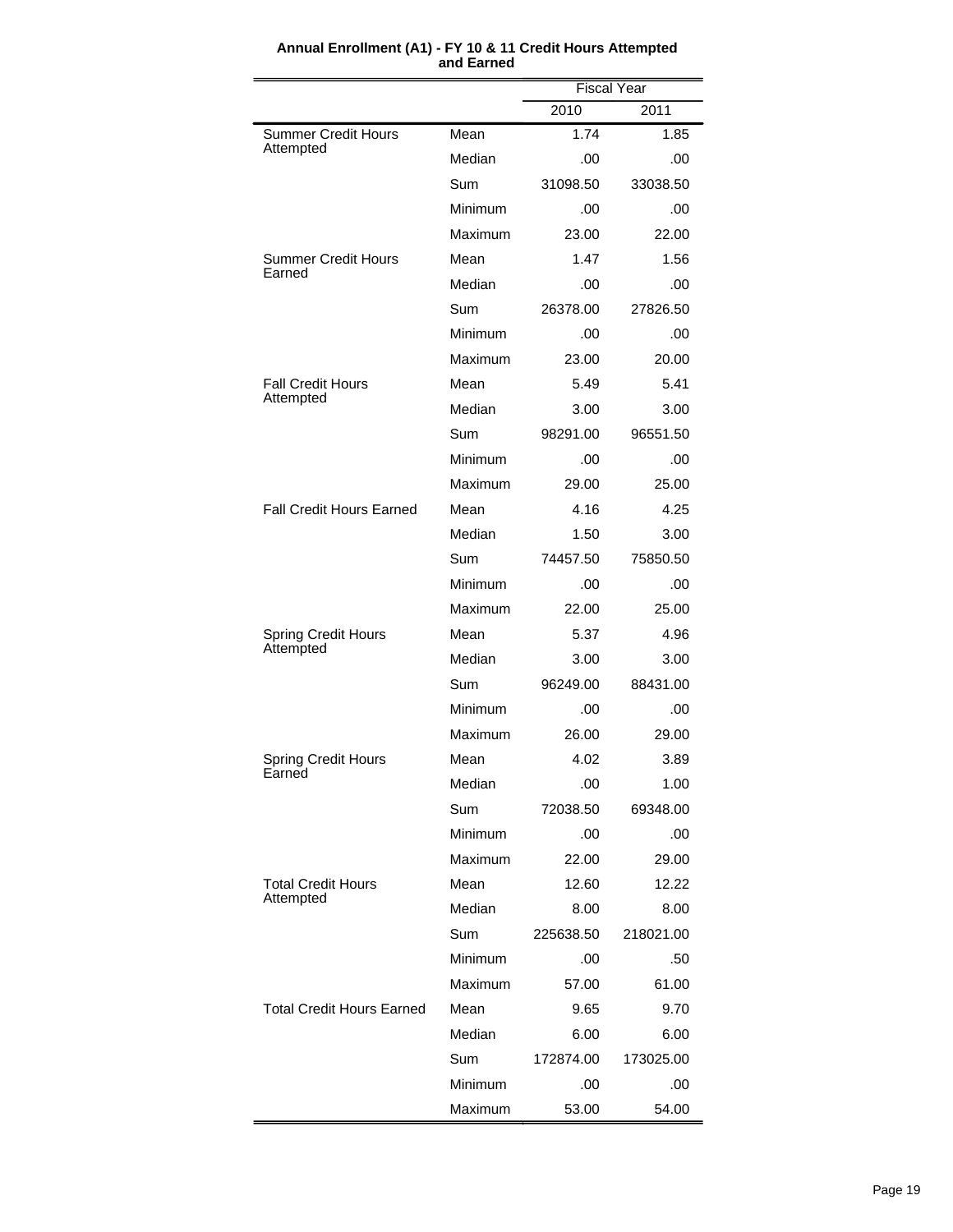|                                  |         | <b>Fiscal Year</b> |           |  |
|----------------------------------|---------|--------------------|-----------|--|
|                                  |         | 2010               | 2011      |  |
| <b>Summer Credit Hours</b>       | Mean    | 1.74               | 1.85      |  |
| Attempted                        | Median  | .00                | .00       |  |
|                                  | Sum     | 31098.50           | 33038.50  |  |
|                                  | Minimum | .00                | .00       |  |
|                                  | Maximum | 23.00              | 22.00     |  |
| Summer Credit Hours              | Mean    | 1.47               | 1.56      |  |
| Earned                           | Median  | .00                | .00       |  |
|                                  | Sum     | 26378.00           | 27826.50  |  |
|                                  | Minimum | .00                | .00       |  |
|                                  | Maximum | 23.00              | 20.00     |  |
| <b>Fall Credit Hours</b>         | Mean    | 5.49               | 5.41      |  |
| Attempted                        | Median  | 3.00               | 3.00      |  |
|                                  | Sum     | 98291.00           | 96551.50  |  |
|                                  | Minimum | .00                | .00       |  |
|                                  | Maximum | 29.00              | 25.00     |  |
| <b>Fall Credit Hours Earned</b>  | Mean    | 4.16               | 4.25      |  |
|                                  | Median  | 1.50               | 3.00      |  |
|                                  | Sum     | 74457.50           | 75850.50  |  |
|                                  | Minimum | .00                | .00       |  |
|                                  | Maximum | 22.00              | 25.00     |  |
| <b>Spring Credit Hours</b>       | Mean    | 5.37               | 4.96      |  |
| Attempted                        | Median  | 3.00               | 3.00      |  |
|                                  | Sum     | 96249.00           | 88431.00  |  |
|                                  | Minimum | .00                | .00       |  |
|                                  | Maximum | 26.00              | 29.00     |  |
| <b>Spring Credit Hours</b>       | Mean    | 4.02               | 3.89      |  |
| Earned                           | Median  | .00                | 1.00      |  |
|                                  | Sum     | 72038.50           | 69348.00  |  |
|                                  | Minimum | .00                | .00       |  |
|                                  | Maximum | 22.00              | 29.00     |  |
| <b>Total Credit Hours</b>        | Mean    | 12.60              | 12.22     |  |
| Attempted                        | Median  | 8.00               | 8.00      |  |
|                                  | Sum     | 225638.50          | 218021.00 |  |
|                                  | Minimum | .00.               | .50       |  |
|                                  | Maximum | 57.00              | 61.00     |  |
| <b>Total Credit Hours Earned</b> | Mean    | 9.65               | 9.70      |  |
|                                  | Median  | 6.00               | 6.00      |  |
|                                  | Sum     | 172874.00          | 173025.00 |  |
|                                  | Minimum | .00                | .00       |  |
|                                  | Maximum | 53.00              | 54.00     |  |

#### **Annual Enrollment (A1) - FY 10 & 11 Credit Hours Attempted and Earned**